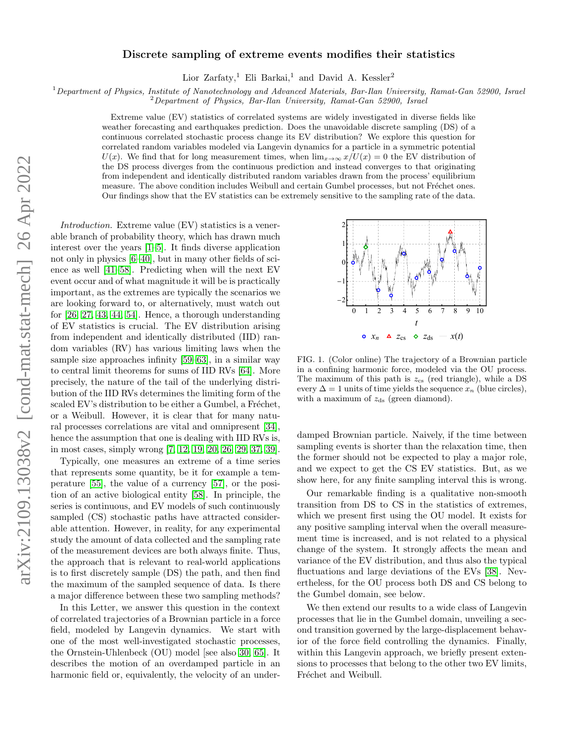# Discrete sampling of extreme events modifies their statistics

Lior Zarfaty,<sup>1</sup> Eli Barkai,<sup>1</sup> and David A. Kessler<sup>2</sup>

 $1$ Department of Physics, Institute of Nanotechnology and Advanced Materials, Bar-Ilan University, Ramat-Gan 52900, Israel

 $2D$ epartment of Physics, Bar-Ilan University, Ramat-Gan 52900, Israel

Extreme value (EV) statistics of correlated systems are widely investigated in diverse fields like weather forecasting and earthquakes prediction. Does the unavoidable discrete sampling (DS) of a continuous correlated stochastic process change its EV distribution? We explore this question for correlated random variables modeled via Langevin dynamics for a particle in a symmetric potential  $U(x)$ . We find that for long measurement times, when  $\lim_{x\to\infty}x/U(x) = 0$  the EV distribution of the DS process diverges from the continuous prediction and instead converges to that originating from independent and identically distributed random variables drawn from the process' equilibrium measure. The above condition includes Weibull and certain Gumbel processes, but not Fréchet ones. Our findings show that the EV statistics can be extremely sensitive to the sampling rate of the data.

Introduction. Extreme value (EV) statistics is a venerable branch of probability theory, which has drawn much interest over the years [\[1](#page-4-0)[–5\]](#page-4-1). It finds diverse application not only in physics [\[6–](#page-4-2)[40\]](#page-4-3), but in many other fields of science as well [\[41–](#page-4-4)[58\]](#page-4-5). Predicting when will the next EV event occur and of what magnitude it will be is practically important, as the extremes are typically the scenarios we are looking forward to, or alternatively, must watch out for [\[26,](#page-4-6) [27,](#page-4-7) [43,](#page-4-8) [44,](#page-4-9) [54\]](#page-4-10). Hence, a thorough understanding of EV statistics is crucial. The EV distribution arising from independent and identically distributed (IID) random variables (RV) has various limiting laws when the sample size approaches infinity [\[59–](#page-4-11)[63\]](#page-4-12), in a similar way to central limit theorems for sums of IID RVs [\[64\]](#page-5-0). More precisely, the nature of the tail of the underlying distribution of the IID RVs determines the limiting form of the scaled EV's distribution to be either a Gumbel, a Fréchet, or a Weibull. However, it is clear that for many natural processes correlations are vital and omnipresent [\[34\]](#page-4-13), hence the assumption that one is dealing with IID RVs is, in most cases, simply wrong [\[7,](#page-4-14) [12,](#page-4-15) [19,](#page-4-16) [20,](#page-4-17) [26,](#page-4-6) [29,](#page-4-18) [37,](#page-4-19) [39\]](#page-4-20).

Typically, one measures an extreme of a time series that represents some quantity, be it for example a temperature [\[55\]](#page-4-21), the value of a currency [\[57\]](#page-4-22), or the position of an active biological entity [\[58\]](#page-4-5). In principle, the series is continuous, and EV models of such continuously sampled (CS) stochastic paths have attracted considerable attention. However, in reality, for any experimental study the amount of data collected and the sampling rate of the measurement devices are both always finite. Thus, the approach that is relevant to real-world applications is to first discretely sample (DS) the path, and then find the maximum of the sampled sequence of data. Is there a major difference between these two sampling methods?

In this Letter, we answer this question in the context of correlated trajectories of a Brownian particle in a force field, modeled by Langevin dynamics. We start with one of the most well-investigated stochastic processes, the Ornstein-Uhlenbeck (OU) model [see also [30,](#page-4-23) [65\]](#page-5-1). It describes the motion of an overdamped particle in an harmonic field or, equivalently, the velocity of an under-



<span id="page-0-0"></span>FIG. 1. (Color online) The trajectory of a Brownian particle in a confining harmonic force, modeled via the OU process. The maximum of this path is  $z_{\text{cs}}$  (red triangle), while a DS every  $\Delta = 1$  units of time yields the sequence  $x_n$  (blue circles), with a maximum of  $z_{ds}$  (green diamond).

damped Brownian particle. Naively, if the time between sampling events is shorter than the relaxation time, then the former should not be expected to play a major role, and we expect to get the CS EV statistics. But, as we show here, for any finite sampling interval this is wrong.

Our remarkable finding is a qualitative non-smooth transition from DS to CS in the statistics of extremes, which we present first using the OU model. It exists for any positive sampling interval when the overall measurement time is increased, and is not related to a physical change of the system. It strongly affects the mean and variance of the EV distribution, and thus also the typical fluctuations and large deviations of the EVs [\[38\]](#page-4-24). Nevertheless, for the OU process both DS and CS belong to the Gumbel domain, see below.

We then extend our results to a wide class of Langevin processes that lie in the Gumbel domain, unveiling a second transition governed by the large-displacement behavior of the force field controlling the dynamics. Finally, within this Langevin approach, we briefly present extensions to processes that belong to the other two EV limits, Fréchet and Weibull.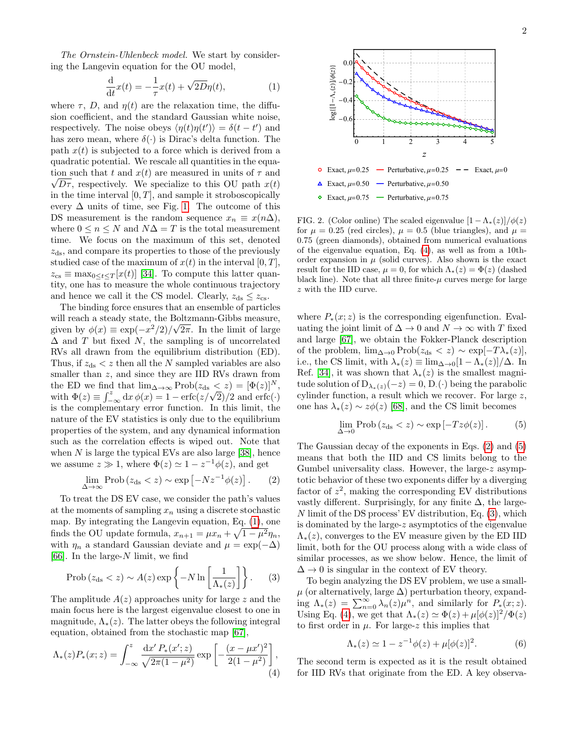The Ornstein-Uhlenbeck model. We start by considering the Langevin equation for the OU model,

<span id="page-1-0"></span>
$$
\frac{\mathrm{d}}{\mathrm{d}t}x(t) = -\frac{1}{\tau}x(t) + \sqrt{2D}\eta(t),\tag{1}
$$

where  $\tau$ , D, and  $\eta(t)$  are the relaxation time, the diffusion coefficient, and the standard Gaussian white noise, respectively. The noise obeys  $\langle \eta(t)\eta(t')\rangle = \delta(t-t')$  and has zero mean, where  $\delta(\cdot)$  is Dirac's delta function. The path  $x(t)$  is subjected to a force which is derived from a quadratic potential. We rescale all quantities in the equa tion such that t and  $x(t)$  are measured in units of  $\tau$  and  $\sqrt{D\tau}$ , respectively. We specialize to this OU path  $x(t)$ in the time interval  $[0, T]$ , and sample it stroboscopically every  $\Delta$  units of time, see Fig. [1.](#page-0-0) The outcome of this DS measurement is the random sequence  $x_n \equiv x(n\Delta)$ , where  $0 \leq n \leq N$  and  $N\Delta = T$  is the total measurement time. We focus on the maximum of this set, denoted  $z_{ds}$ , and compare its properties to those of the previously studied case of the maximum of  $x(t)$  in the interval  $[0, T]$ ,  $z_{\text{cs}} \equiv \max_{0 \leq t \leq T} [x(t)]$  [\[34\]](#page-4-13). To compute this latter quantity, one has to measure the whole continuous trajectory and hence we call it the CS model. Clearly,  $z_{ds} \leq z_{cs}$ .

The binding force ensures that an ensemble of particles will reach a steady state, the Boltzmann-Gibbs measure, given by  $\phi(x) \equiv \exp(-x^2/2)/\sqrt{2\pi}$ . In the limit of large  $\Delta$  and T but fixed N, the sampling is of uncorrelated RVs all drawn from the equilibrium distribution (ED). Thus, if  $z_{ds} < z$  then all the N sampled variables are also smaller than  $z$ , and since they are IID RVs drawn from the ED we find that  $\lim_{\Delta \to \infty} \text{Prob}(z_{ds} < z) = [\Phi(z)]^N$ , the ED we find that  $\lim_{\Delta \to \infty} \text{Prob}(z_{ds} < z) = [\Psi(z)]^{\alpha}$ ,<br>with  $\Phi(z) \equiv \int_{-\infty}^{z} dx \, \phi(x) = 1 - \text{erfc}(z/\sqrt{2})/2$  and  $\text{erfc}(\cdot)$ is the complementary error function. In this limit, the nature of the EV statistics is only due to the equilibrium properties of the system, and any dynamical information such as the correlation effects is wiped out. Note that when  $N$  is large the typical EVs are also large [\[38\]](#page-4-24), hence we assume  $z \gg 1$ , where  $\Phi(z) \simeq 1 - z^{-1} \phi(z)$ , and get

<span id="page-1-2"></span>
$$
\lim_{\Delta \to \infty} \text{Prob} \left( z_{\text{ds}} < z \right) \sim \exp \left[ -N z^{-1} \phi(z) \right]. \tag{2}
$$

To treat the DS EV case, we consider the path's values at the moments of sampling  $x_n$  using a discrete stochastic map. By integrating the Langevin equation, Eq. [\(1\)](#page-1-0), one finds the OU update formula,  $x_{n+1} = \mu x_n + \sqrt{1 - \mu^2} \eta_n$ , with  $\eta_n$  a standard Gaussian deviate and  $\mu = \exp(-\Delta)$ [\[66\]](#page-5-2). In the large- $N$  limit, we find

<span id="page-1-4"></span>
$$
\text{Prob}\left(z_{\text{ds}} < z\right) \sim A(z) \exp\left\{-N \ln\left[\frac{1}{\Lambda_*(z)}\right]\right\}.\tag{3}
$$

The amplitude  $A(z)$  approaches unity for large z and the main focus here is the largest eigenvalue closest to one in magnitude,  $\Lambda_*(z)$ . The latter obeys the following integral equation, obtained from the stochastic map [\[67\]](#page-5-3),

<span id="page-1-1"></span>
$$
\Lambda_*(z)P_*(x;z) = \int_{-\infty}^z \frac{\mathrm{d}x' P_*(x';z)}{\sqrt{2\pi(1-\mu^2)}} \exp\left[-\frac{(x-\mu x')^2}{2(1-\mu^2)}\right],\tag{4}
$$



<span id="page-1-5"></span>FIG. 2. (Color online) The scaled eigenvalue  $[1 - \Lambda_*(z)]/\phi(z)$ for  $\mu = 0.25$  (red circles),  $\mu = 0.5$  (blue triangles), and  $\mu =$ 0.75 (green diamonds), obtained from numerical evaluations of the eigenvalue equation, Eq. [\(4\)](#page-1-1), as well as from a 10thorder expansion in  $\mu$  (solid curves). Also shown is the exact result for the IID case,  $\mu = 0$ , for which  $\Lambda_*(z) = \Phi(z)$  (dashed black line). Note that all three finite- $\mu$  curves merge for large z with the IID curve.

where  $P_*(x; z)$  is the corresponding eigenfunction. Evaluating the joint limit of  $\Delta \to 0$  and  $N \to \infty$  with T fixed and large [\[67\]](#page-5-3), we obtain the Fokker-Planck description of the problem,  $\lim_{\Delta\to 0} \text{Prob}(z_{ds} < z) \sim \exp[-T\lambda_*(z)],$ i.e., the CS limit, with  $\lambda_*(z) \equiv \lim_{\Delta \to 0} \frac{1 - \Lambda_*(z)}{\Delta}$ . In Ref. [\[34\]](#page-4-13), it was shown that  $\lambda_*(z)$  is the smallest magnitude solution of  $D_{\lambda_*(z)}(-z) = 0$ , D.(·) being the parabolic cylinder function, a result which we recover. For large z, one has  $\lambda_*(z) \sim z\phi(z)$  [\[68\]](#page-5-4), and the CS limit becomes

<span id="page-1-3"></span>
$$
\lim_{\Delta \to 0} \text{Prob} (z_{\text{ds}} < z) \sim \exp[-Tz\phi(z)]. \tag{5}
$$

The Gaussian decay of the exponents in Eqs. [\(2\)](#page-1-2) and [\(5\)](#page-1-3) means that both the IID and CS limits belong to the Gumbel universality class. However, the large-z asymptotic behavior of these two exponents differ by a diverging factor of  $z^2$ , making the corresponding EV distributions vastly different. Surprisingly, for any finite  $\Delta$ , the large-N limit of the DS process' EV distribution, Eq. [\(3\)](#page-1-4), which is dominated by the large-z asymptotics of the eigenvalue  $\Lambda_*(z)$ , converges to the EV measure given by the ED IID limit, both for the OU process along with a wide class of similar processes, as we show below. Hence, the limit of  $\Delta \rightarrow 0$  is singular in the context of EV theory.

To begin analyzing the DS EV problem, we use a small- $\mu$  (or alternatively, large  $\Delta$ ) perturbation theory, expanding  $\Lambda_*(z) = \sum_{n=0}^{\infty} \lambda_n(z) \mu^n$ , and similarly for  $P_*(x; z)$ . Using Eq. [\(4\)](#page-1-1), we get that  $\Lambda_*(z) \simeq \Phi(z) + \mu[\phi(z)]^2/\Phi(z)$ to first order in  $\mu$ . For large-z this implies that

<span id="page-1-6"></span>
$$
\Lambda_*(z) \simeq 1 - z^{-1} \phi(z) + \mu [\phi(z)]^2.
$$
 (6)

The second term is expected as it is the result obtained for IID RVs that originate from the ED. A key observa-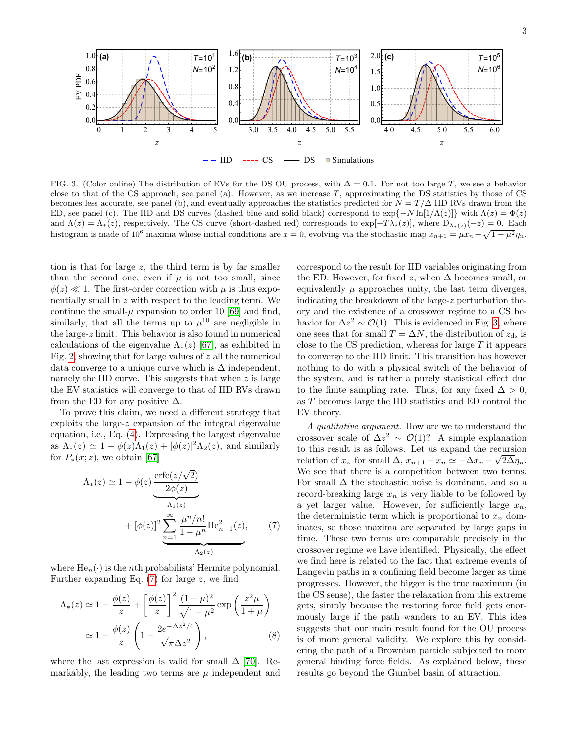

<span id="page-2-1"></span>FIG. 3. (Color online) The distribution of EVs for the DS OU process, with  $\Delta = 0.1$ . For not too large T, we see a behavior close to that of the CS approach, see panel (a). However, as we increase  $T$ , approximating the DS statistics by those of CS becomes less accurate, see panel (b), and eventually approaches the statistics predicted for  $N = T/\Delta$  IID RVs drawn from the ED, see panel (c). The IID and DS curves (dashed blue and solid black) correspond to  $\exp\{-N \ln[1/\Lambda(z)]\}$  with  $\Lambda(z) = \Phi(z)$ and  $\Lambda(z) = \Lambda_*(z)$ , respectively. The CS curve (short-dashed red) corresponds to  $\exp[-T\lambda_*(z)]$ , where  $D_{\lambda_*(z)}(-z) = 0$ . Each histogram is made of 10<sup>6</sup> maxima whose initial conditions are  $x = 0$ , evolving via the stochastic map  $x_{n+1} = \mu x_n + \sqrt{1 - \mu^2} \eta_n$ .

tion is that for large  $z$ , the third term is by far smaller than the second one, even if  $\mu$  is not too small, since  $\phi(z) \ll 1$ . The first-order correction with  $\mu$  is thus exponentially small in z with respect to the leading term. We continue the small- $\mu$  expansion to order 10 [\[69\]](#page-5-5) and find, similarly, that all the terms up to  $\mu^{10}$  are negligible in the large-z limit. This behavior is also found in numerical calculations of the eigenvalue  $\Lambda_*(z)$  [\[67\]](#page-5-3), as exhibited in Fig. [2,](#page-1-5) showing that for large values of  $z$  all the numerical data converge to a unique curve which is  $\Delta$  independent, namely the IID curve. This suggests that when  $z$  is large the EV statistics will converge to that of IID RVs drawn from the ED for any positive  $\Delta$ .

To prove this claim, we need a different strategy that exploits the large-z expansion of the integral eigenvalue equation, i.e., Eq. [\(4\)](#page-1-1). Expressing the largest eigenvalue as  $\Lambda_*(z) \simeq 1 - \phi(z)\Lambda_1(z) + [\phi(z)]^2\Lambda_2(z)$ , and similarly for  $P_*(x; z)$ , we obtain [\[67\]](#page-5-3)

$$
\Lambda_*(z) \simeq 1 - \phi(z) \underbrace{\frac{\text{erfc}(z/\sqrt{2})}{2\phi(z)}}_{\Lambda_1(z)} + [\phi(z)]^2 \underbrace{\sum_{n=1}^{\infty} \frac{\mu^n/n!}{1 - \mu^n} \text{He}_{n-1}^2(z)}_{\Lambda_2(z)}, \qquad (7)
$$

where  $He_n(\cdot)$  is the *n*th probabilists' Hermite polynomial. Further expanding Eq.  $(7)$  for large z, we find

$$
\Lambda_*(z) \simeq 1 - \frac{\phi(z)}{z} + \left[\frac{\phi(z)}{z}\right]^2 \frac{(1+\mu)^2}{\sqrt{1-\mu^2}} \exp\left(\frac{z^2\mu}{1+\mu}\right)
$$

$$
\simeq 1 - \frac{\phi(z)}{z} \left(1 - \frac{2e^{-\Delta z^2/4}}{\sqrt{\pi\Delta z^2}}\right),\tag{8}
$$

where the last expression is valid for small  $\Delta$  [\[70\]](#page-5-6). Remarkably, the leading two terms are  $\mu$  independent and correspond to the result for IID variables originating from the ED. However, for fixed z, when  $\Delta$  becomes small, or equivalently  $\mu$  approaches unity, the last term diverges, indicating the breakdown of the large-z perturbation theory and the existence of a crossover regime to a CS behavior for  $\Delta z^2 \sim \mathcal{O}(1)$ . This is evidenced in Fig. [3,](#page-2-1) where one sees that for small  $T = \Delta N$ , the distribution of  $z_{ds}$  is close to the CS prediction, whereas for large  $T$  it appears to converge to the IID limit. This transition has however nothing to do with a physical switch of the behavior of the system, and is rather a purely statistical effect due to the finite sampling rate. Thus, for any fixed  $\Delta > 0$ , as T becomes large the IID statistics and ED control the EV theory.

<span id="page-2-2"></span><span id="page-2-0"></span>A qualitative argument. How are we to understand the crossover scale of  $\Delta z^2 \sim \mathcal{O}(1)$ ? A simple explanation to this result is as follows. Let us expand the recursion relation of  $x_n$  for small  $\Delta$ ,  $x_{n+1} - x_n \simeq -\Delta x_n + \sqrt{2\Delta \eta_n}$ . We see that there is a competition between two terms. For small  $\Delta$  the stochastic noise is dominant, and so a record-breaking large  $x_n$  is very liable to be followed by a yet larger value. However, for sufficiently large  $x_n$ , the deterministic term which is proportional to  $x_n$  dominates, so those maxima are separated by large gaps in time. These two terms are comparable precisely in the crossover regime we have identified. Physically, the effect we find here is related to the fact that extreme events of Langevin paths in a confining field become larger as time progresses. However, the bigger is the true maximum (in the CS sense), the faster the relaxation from this extreme gets, simply because the restoring force field gets enormously large if the path wanders to an EV. This idea suggests that our main result found for the OU process is of more general validity. We explore this by considering the path of a Brownian particle subjected to more general binding force fields. As explained below, these results go beyond the Gumbel basin of attraction.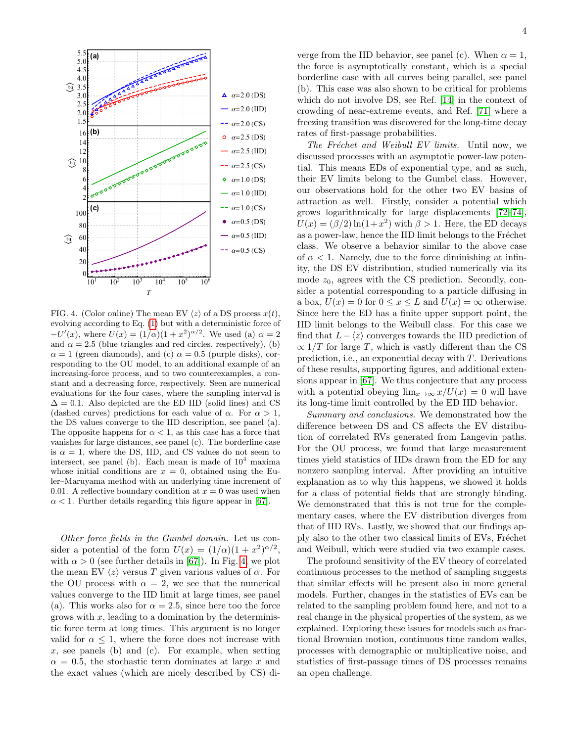

<span id="page-3-0"></span>FIG. 4. (Color online) The mean EV  $\langle z \rangle$  of a DS process  $x(t)$ evolving according to Eq. [\(1\)](#page-1-0) but with a deterministic force of  $-U'(x)$ , where  $U(x) = (1/\alpha)(1+x^2)^{\alpha/2}$ . We used (a)  $\alpha = 2$ and  $\alpha = 2.5$  (blue triangles and red circles, respectively), (b)  $\alpha = 1$  (green diamonds), and (c)  $\alpha = 0.5$  (purple disks), corresponding to the OU model, to an additional example of an increasing-force process, and to two counterexamples, a constant and a decreasing force, respectively. Seen are numerical evaluations for the four cases, where the sampling interval is  $\Delta = 0.1$ . Also depicted are the ED IID (solid lines) and CS (dashed curves) predictions for each value of  $\alpha$ . For  $\alpha > 1$ , the DS values converge to the IID description, see panel (a). The opposite happens for  $\alpha < 1$ , as this case has a force that vanishes for large distances, see panel (c). The borderline case is  $\alpha = 1$ , where the DS, IID, and CS values do not seem to intersect, see panel (b). Each mean is made of  $10^4$  maxima whose initial conditions are  $x = 0$ , obtained using the Euler–Maruyama method with an underlying time increment of 0.01. A reflective boundary condition at  $x = 0$  was used when  $\alpha$  < 1. Further details regarding this figure appear in [\[67\]](#page-5-3).

Other force fields in the Gumbel domain. Let us consider a potential of the form  $U(x) = (1/\alpha)(1+x^2)^{\alpha/2}$ , with  $\alpha > 0$  (see further details in [\[67\]](#page-5-3)). In Fig. [4,](#page-3-0) we plot the mean EV  $\langle z \rangle$  versus T given various values of  $\alpha$ . For the OU process with  $\alpha = 2$ , we see that the numerical values converge to the IID limit at large times, see panel (a). This works also for  $\alpha = 2.5$ , since here too the force grows with  $x$ , leading to a domination by the deterministic force term at long times. This argument is no longer valid for  $\alpha \leq 1$ , where the force does not increase with x, see panels (b) and (c). For example, when setting  $\alpha = 0.5$ , the stochastic term dominates at large x and the exact values (which are nicely described by CS) di-

verge from the IID behavior, see panel (c). When  $\alpha = 1$ , the force is asymptotically constant, which is a special borderline case with all curves being parallel, see panel (b). This case was also shown to be critical for problems which do not involve DS, see Ref. [\[14\]](#page-4-25) in the context of crowding of near-extreme events, and Ref. [\[71\]](#page-5-7) where a freezing transition was discovered for the long-time decay rates of first-passage probabilities.

The Fréchet and Weibull EV limits. Until now, we discussed processes with an asymptotic power-law potential. This means EDs of exponential type, and as such, their EV limits belong to the Gumbel class. However, our observations hold for the other two EV basins of attraction as well. Firstly, consider a potential which grows logarithmically for large displacements [\[72–](#page-5-8)[74\]](#page-5-9),  $U(x) = (\beta/2) \ln(1+x^2)$  with  $\beta > 1$ . Here, the ED decays as a power-law, hence the IID limit belongs to the Fréchet class. We observe a behavior similar to the above case of  $\alpha < 1$ . Namely, due to the force diminishing at infinity, the DS EV distribution, studied numerically via its mode  $z_0$ , agrees with the CS prediction. Secondly, consider a potential corresponding to a particle diffusing in a box,  $U(x) = 0$  for  $0 \le x \le L$  and  $U(x) = \infty$  otherwise. Since here the ED has a finite upper support point, the IID limit belongs to the Weibull class. For this case we find that  $L - \langle z \rangle$  converges towards the IID prediction of  $\propto 1/T$  for large T, which is vastly different than the CS prediction, i.e., an exponential decay with  $T$ . Derivations of these results, supporting figures, and additional extensions appear in [\[67\]](#page-5-3). We thus conjecture that any process with a potential obeying  $\lim_{x\to\infty} x/U(x) = 0$  will have its long-time limit controlled by the ED IID behavior.

Summary and conclusions. We demonstrated how the difference between DS and CS affects the EV distribution of correlated RVs generated from Langevin paths. For the OU process, we found that large measurement times yield statistics of IIDs drawn from the ED for any nonzero sampling interval. After providing an intuitive explanation as to why this happens, we showed it holds for a class of potential fields that are strongly binding. We demonstrated that this is not true for the complementary cases, where the EV distribution diverges from that of IID RVs. Lastly, we showed that our findings apply also to the other two classical limits of EVs, Fréchet and Weibull, which were studied via two example cases.

The profound sensitivity of the EV theory of correlated continuous processes to the method of sampling suggests that similar effects will be present also in more general models. Further, changes in the statistics of EVs can be related to the sampling problem found here, and not to a real change in the physical properties of the system, as we explained. Exploring these issues for models such as fractional Brownian motion, continuous time random walks, processes with demographic or multiplicative noise, and statistics of first-passage times of DS processes remains an open challenge.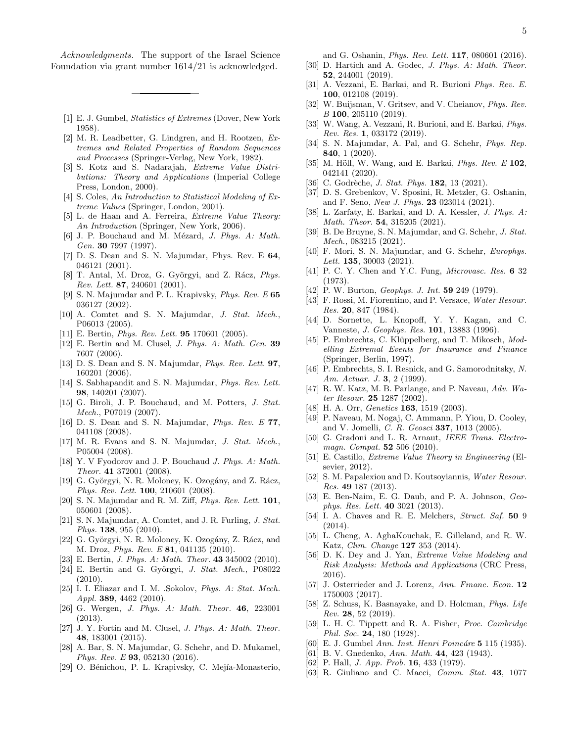Acknowledgments. The support of the Israel Science Foundation via grant number 1614/21 is acknowledged.

- <span id="page-4-0"></span>[1] E. J. Gumbel, Statistics of Extremes (Dover, New York 1958).
- [2] M. R. Leadbetter, G. Lindgren, and H. Rootzen, Extremes and Related Properties of Random Sequences and Processes (Springer-Verlag, New York, 1982).
- [3] S. Kotz and S. Nadarajah, Extreme Value Distributions: Theory and Applications (Imperial College Press, London, 2000).
- [4] S. Coles, An Introduction to Statistical Modeling of Extreme Values (Springer, London, 2001).
- <span id="page-4-1"></span>[5] L. de Haan and A. Ferreira, Extreme Value Theory: An Introduction (Springer, New York, 2006).
- <span id="page-4-2"></span>[6] J. P. Bouchaud and M. Mézard, J. Phys. A: Math. Gen. 30 7997 (1997).
- <span id="page-4-14"></span>[7] D. S. Dean and S. N. Majumdar, Phys. Rev. E 64, 046121 (2001).
- [8] T. Antal, M. Droz, G. Györgyi, and Z. Rácz, Phys. Rev. Lett. 87, 240601 (2001).
- [9] S. N. Majumdar and P. L. Krapivsky, *Phys. Rev. E* 65 036127 (2002).
- [10] A. Comtet and S. N. Majumdar, J. Stat. Mech., P06013 (2005).
- [11] E. Bertin, *Phys. Rev. Lett.* **95** 170601 (2005).
- <span id="page-4-15"></span>[12] E. Bertin and M. Clusel, J. Phys. A: Math. Gen. 39 7607 (2006).
- [13] D. S. Dean and S. N. Majumdar, *Phys. Rev. Lett.* **97**, 160201 (2006).
- <span id="page-4-25"></span>[14] S. Sabhapandit and S. N. Majumdar, *Phys. Rev. Lett.* 98, 140201 (2007).
- [15] G. Biroli, J. P. Bouchaud, and M. Potters, J. Stat. Mech., P07019 (2007).
- [16] D. S. Dean and S. N. Majumdar, *Phys. Rev. E* 77, 041108 (2008).
- [17] M. R. Evans and S. N. Majumdar, J. Stat. Mech., P05004 (2008).
- [18] Y. V Fyodorov and J. P. Bouchaud *J. Phys. A: Math.* Theor. 41 372001 (2008).
- <span id="page-4-16"></span>[19] G. Györgyi, N. R. Moloney, K. Ozogány, and Z. Rácz, Phys. Rev. Lett. 100, 210601 (2008).
- <span id="page-4-17"></span>[20] S. N. Majumdar and R. M. Ziff, *Phys. Rev. Lett.* **101**, 050601 (2008).
- [21] S. N. Majumdar, A. Comtet, and J. R. Furling, J. Stat. Phys. 138, 955 (2010).
- [22] G. Györgyi, N. R. Moloney, K. Ozogány, Z. Rácz, and M. Droz, *Phys. Rev. E* **81**, 041135 (2010).
- [23] E. Bertin, *J. Phys. A: Math. Theor.* **43** 345002 (2010).
- [24] E. Bertin and G. Györgyi, J. Stat. Mech., P08022 (2010).
- [25] I. I. Eliazar and I. M. .Sokolov, *Phys. A: Stat. Mech.* Appl. 389, 4462 (2010).
- <span id="page-4-6"></span>[26] G. Wergen, J. Phys. A: Math. Theor. **46**, 223001 (2013).
- <span id="page-4-7"></span>[27] J. Y. Fortin and M. Clusel, *J. Phys. A: Math. Theor.* 48, 183001 (2015).
- [28] A. Bar, S. N. Majumdar, G. Schehr, and D. Mukamel, Phys. Rev. E 93, 052130 (2016).
- <span id="page-4-18"></span>[29] O. Bénichou, P. L. Krapivsky, C. Mejía-Monasterio,

and G. Oshanin, Phys. Rev. Lett. 117, 080601 (2016).

- <span id="page-4-23"></span>[30] D. Hartich and A. Godec, J. Phys. A: Math. Theor. 52, 244001 (2019).
- [31] A. Vezzani, E. Barkai, and R. Burioni Phys. Rev. E. 100, 012108 (2019).
- [32] W. Buijsman, V. Gritsev, and V. Cheianov, *Phys. Rev.* B 100, 205110 (2019).
- [33] W. Wang, A. Vezzani, R. Burioni, and E. Barkai, Phys. Rev. Res. 1, 033172 (2019).
- <span id="page-4-13"></span>[34] S. N. Majumdar, A. Pal, and G. Schehr, *Phys. Rep.* 840, 1 (2020).
- [35] M. Höll, W. Wang, and E. Barkai, *Phys. Rev. E*  $102$ , 042141 (2020).
- [36] C. Godrèche, *J. Stat. Phys.* **182**, 13 (2021).
- <span id="page-4-19"></span>[37] D. S. Grebenkov, V. Sposini, R. Metzler, G. Oshanin, and F. Seno, New J. Phys. 23 023014 (2021).
- <span id="page-4-24"></span>[38] L. Zarfaty, E. Barkai, and D. A. Kessler, J. Phys. A: Math. Theor. 54, 315205 (2021).
- <span id="page-4-20"></span>[39] B. De Bruyne, S. N. Majumdar, and G. Schehr, J. Stat. Mech., 083215 (2021).
- <span id="page-4-3"></span>[40] F. Mori, S. N. Majumdar, and G. Schehr, Europhys. Lett. **135**, 30003  $(2021)$ .
- <span id="page-4-4"></span>[41] P. C. Y. Chen and Y.C. Fung, *Microvasc. Res.* 6 32 (1973).
- [42] P. W. Burton, Geophys. J. Int. 59 249 (1979).
- <span id="page-4-8"></span>[43] F. Rossi, M. Fiorentino, and P. Versace, Water Resour. Res. 20, 847 (1984).
- <span id="page-4-9"></span>[44] D. Sornette, L. Knopoff, Y. Y. Kagan, and C. Vanneste, J. Geophys. Res. 101, 13883 (1996).
- [45] P. Embrechts, C. Klüppelberg, and T. Mikosch, Modelling Extremal Events for Insurance and Finance (Springer, Berlin, 1997).
- [46] P. Embrechts, S. I. Resnick, and G. Samorodnitsky, N. Am. Actuar. J. 3, 2 (1999).
- [47] R. W. Katz, M. B. Parlange, and P. Naveau, Adv. Water Resour. 25 1287 (2002).
- [48] H. A. Orr, *Genetics* **163**, 1519 (2003).
- [49] P. Naveau, M. Nogaj, C. Ammann, P. Yiou, D. Cooley, and V. Jomelli, C. R. Geosci 337, 1013 (2005).
- [50] G. Gradoni and L. R. Arnaut, IEEE Trans. Electromagn. Compat. **52** 506 (2010).
- [51] E. Castillo, Extreme Value Theory in Engineering (Elsevier, 2012).
- [52] S. M. Papalexiou and D. Koutsoyiannis, Water Resour. Res. 49 187 (2013).
- [53] E. Ben-Naim, E. G. Daub, and P. A. Johnson, Geophys. Res. Lett. 40 3021 (2013).
- <span id="page-4-10"></span>[54] I. A. Chaves and R. E. Melchers, Struct. Saf. 50 9 (2014).
- <span id="page-4-21"></span>[55] L. Cheng, A. AghaKouchak, E. Gilleland, and R. W. Katz, Clim. Change 127 353 (2014).
- [56] D. K. Dey and J. Yan, Extreme Value Modeling and Risk Analysis: Methods and Applications (CRC Press, 2016).
- <span id="page-4-22"></span>[57] J. Osterrieder and J. Lorenz, Ann. Financ. Econ. 12 1750003 (2017).
- <span id="page-4-5"></span>[58] Z. Schuss, K. Basnayake, and D. Holcman, Phys. Life Rev. 28, 52 (2019).
- <span id="page-4-11"></span>[59] L. H. C. Tippett and R. A. Fisher, Proc. Cambridge Phil. Soc. 24, 180 (1928).
- [60] E. J. Gumbel Ann. Inst. Henri Poincáre 5 115 (1935).
- [61] B. V. Gnedenko, Ann. Math. 44, 423 (1943).
- [62] P. Hall, *J. App. Prob.* **16**, 433 (1979).
- <span id="page-4-12"></span>[63] R. Giuliano and C. Macci, Comm. Stat. 43, 1077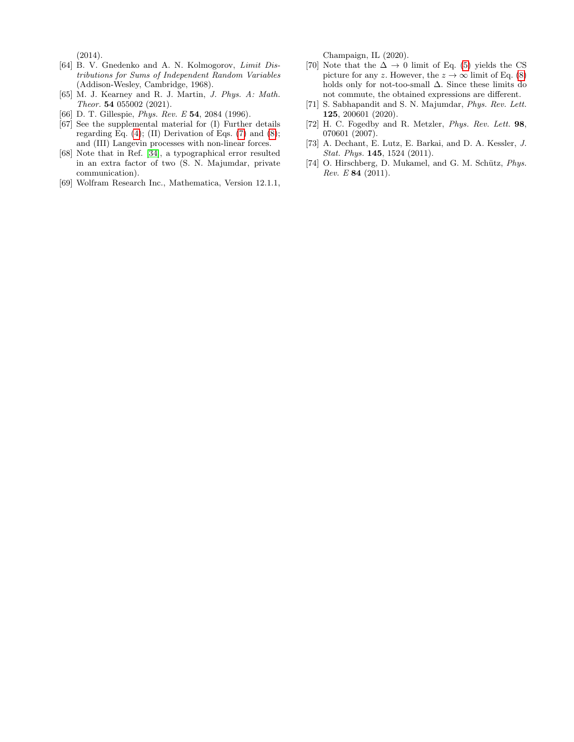(2014).

- <span id="page-5-0"></span>[64] B. V. Gnedenko and A. N. Kolmogorov, Limit Distributions for Sums of Independent Random Variables (Addison-Wesley, Cambridge, 1968).
- <span id="page-5-1"></span>[65] M. J. Kearney and R. J. Martin, J. Phys. A: Math. Theor. 54 055002 (2021).
- <span id="page-5-2"></span>[66] D. T. Gillespie, *Phys. Rev. E* 54, 2084 (1996).
- <span id="page-5-3"></span>[67] See the supplemental material for (I) Further details regarding Eq.  $(4)$ ;  $(II)$  Derivation of Eqs.  $(7)$  and  $(8)$ ; and (III) Langevin processes with non-linear forces.
- <span id="page-5-4"></span>[68] Note that in Ref. [\[34\]](#page-4-13), a typographical error resulted in an extra factor of two (S. N. Majumdar, private communication).
- <span id="page-5-5"></span>[69] Wolfram Research Inc., Mathematica, Version 12.1.1,

Champaign, IL (2020).

- <span id="page-5-6"></span>[70] Note that the  $\Delta \rightarrow 0$  limit of Eq. [\(5\)](#page-1-3) yields the CS picture for any z. However, the  $z \to \infty$  limit of Eq. [\(8\)](#page-2-2) holds only for not-too-small  $\Delta$ . Since these limits do not commute, the obtained expressions are different.
- <span id="page-5-7"></span>[71] S. Sabhapandit and S. N. Majumdar, *Phys. Rev. Lett.* 125, 200601 (2020).
- <span id="page-5-8"></span>[72] H. C. Fogedby and R. Metzler, Phys. Rev. Lett. 98, 070601 (2007).
- <span id="page-5-10"></span>[73] A. Dechant, E. Lutz, E. Barkai, and D. A. Kessler, J. Stat. Phys. **145**, 1524 (2011).
- <span id="page-5-9"></span>[74] O. Hirschberg, D. Mukamel, and G. M. Schütz, Phys.  $Rev. E 84 (2011).$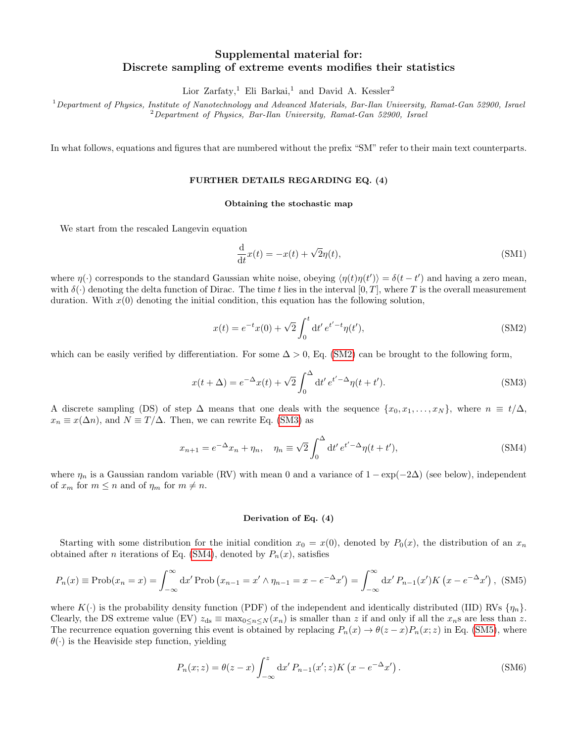# Supplemental material for: Discrete sampling of extreme events modifies their statistics

Lior Zarfaty,<sup>1</sup> Eli Barkai,<sup>1</sup> and David A. Kessler<sup>2</sup>

 $1$ Department of Physics, Institute of Nanotechnology and Advanced Materials, Bar-Ilan University, Ramat-Gan 52900, Israel  $^{2}$ Department of Physics, Bar-Ilan University, Ramat-Gan 52900, Israel

In what follows, equations and figures that are numbered without the prefix "SM" refer to their main text counterparts.

# FURTHER DETAILS REGARDING EQ. (4)

#### Obtaining the stochastic map

We start from the rescaled Langevin equation

$$
\frac{\mathrm{d}}{\mathrm{d}t}x(t) = -x(t) + \sqrt{2}\eta(t),\tag{SM1}
$$

where  $\eta(\cdot)$  corresponds to the standard Gaussian white noise, obeying  $\langle \eta(t)\eta(t')\rangle = \delta(t-t')$  and having a zero mean, with  $\delta(\cdot)$  denoting the delta function of Dirac. The time t lies in the interval  $[0,T]$ , where T is the overall measurement duration. With  $x(0)$  denoting the initial condition, this equation has the following solution,

$$
x(t) = e^{-t}x(0) + \sqrt{2} \int_0^t dt' e^{t'-t} \eta(t'), \tag{SM2}
$$

which can be easily verified by differentiation. For some  $\Delta > 0$ , Eq. [\(SM2\)](#page-1-2) can be brought to the following form,

$$
x(t+\Delta) = e^{-\Delta}x(t) + \sqrt{2}\int_0^{\Delta} dt' e^{t'-\Delta}\eta(t+t').
$$
\n(SM3)

A discrete sampling (DS) of step  $\Delta$  means that one deals with the sequence  $\{x_0, x_1, \ldots, x_N\}$ , where  $n \equiv t/\Delta$ ,  $x_n \equiv x(\Delta n)$ , and  $N \equiv T/\Delta$ . Then, we can rewrite Eq. [\(SM3\)](#page-1-4) as

$$
x_{n+1} = e^{-\Delta}x_n + \eta_n, \quad \eta_n \equiv \sqrt{2} \int_0^{\Delta} dt' e^{t' - \Delta} \eta(t + t'), \tag{SM4}
$$

where  $\eta_n$  is a Gaussian random variable (RV) with mean 0 and a variance of  $1 - \exp(-2\Delta)$  (see below), independent of  $x_m$  for  $m \leq n$  and of  $\eta_m$  for  $m \neq n$ .

#### Derivation of Eq. (4)

Starting with some distribution for the initial condition  $x_0 = x(0)$ , denoted by  $P_0(x)$ , the distribution of an  $x_n$ obtained after *n* iterations of Eq. [\(SM4\)](#page-1-1), denoted by  $P_n(x)$ , satisfies

$$
P_n(x) \equiv \text{Prob}(x_n = x) = \int_{-\infty}^{\infty} dx' \text{Prob}\left(x_{n-1} = x' \land \eta_{n-1} = x - e^{-\Delta}x'\right) = \int_{-\infty}^{\infty} dx' P_{n-1}(x')K\left(x - e^{-\Delta}x'\right), \text{ (SM5)}
$$

where  $K(\cdot)$  is the probability density function (PDF) of the independent and identically distributed (IID) RVs  $\{\eta_n\}$ . Clearly, the DS extreme value (EV)  $z_{ds} \equiv \max_{0 \leq n \leq N} (x_n)$  is smaller than z if and only if all the  $x_n$ s are less than z. The recurrence equation governing this event is obtained by replacing  $P_n(x) \to \theta(z-x)P_n(x;z)$  in Eq. [\(SM5\)](#page-1-3), where  $\theta(\cdot)$  is the Heaviside step function, yielding

$$
P_n(x;z) = \theta(z-x) \int_{-\infty}^z dx' P_{n-1}(x';z) K\left(x - e^{-\Delta} x'\right).
$$
 (SM6)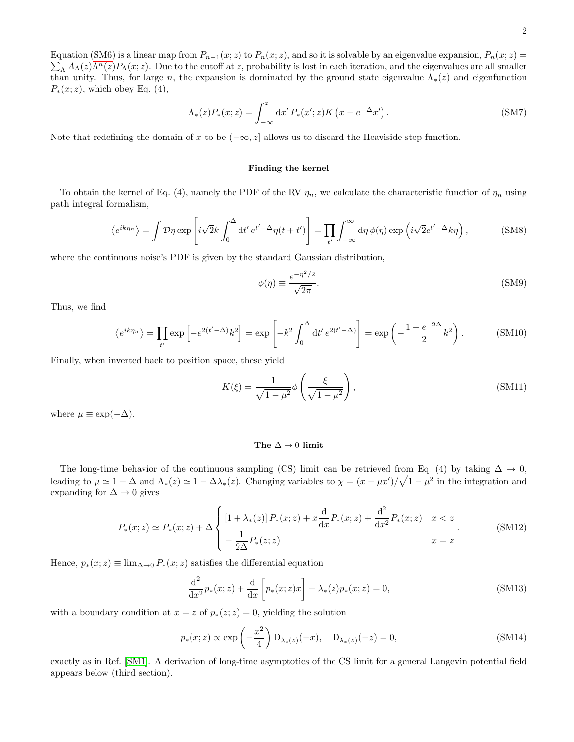$\sum_{\Lambda} A_{\Lambda}(z) \Lambda^{n}(z) P_{\Lambda}(x; z)$ . Due to the cutoff at z, probability is lost in each iteration, and the eigenvalues are all smaller Equation [\(SM6\)](#page-1-6) is a linear map from  $P_{n-1}(x; z)$  to  $P_n(x; z)$ , and so it is solvable by an eigenvalue expansion,  $P_n(x; z)$  = than unity. Thus, for large n, the expansion is dominated by the ground state eigenvalue  $\Lambda_*(z)$  and eigenfunction  $P_*(x; z)$ , which obey Eq. (4),

$$
\Lambda_*(z)P_*(x;z) = \int_{-\infty}^z \mathrm{d}x' P_*(x';z) K\left(x - e^{-\Delta}x'\right). \tag{SM7}
$$

Note that redefining the domain of x to be  $(-\infty, z]$  allows us to discard the Heaviside step function.

## Finding the kernel

To obtain the kernel of Eq. (4), namely the PDF of the RV  $\eta_n$ , we calculate the characteristic function of  $\eta_n$  using path integral formalism,

$$
\langle e^{ik\eta_n} \rangle = \int \mathcal{D}\eta \exp\left[i\sqrt{2}k \int_0^{\Delta} dt' e^{t'-\Delta} \eta(t+t')\right] = \prod_{t'} \int_{-\infty}^{\infty} d\eta \, \phi(\eta) \exp\left(i\sqrt{2}e^{t'-\Delta}k\eta\right),\tag{SM8}
$$

where the continuous noise's PDF is given by the standard Gaussian distribution,

$$
\phi(\eta) \equiv \frac{e^{-\eta^2/2}}{\sqrt{2\pi}}.\tag{SM9}
$$

Thus, we find

$$
\left\langle e^{ik\eta_n} \right\rangle = \prod_{t'} \exp\left[ -e^{2(t'-\Delta)} k^2 \right] = \exp\left[ -k^2 \int_0^{\Delta} dt' e^{2(t'-\Delta)} \right] = \exp\left( -\frac{1 - e^{-2\Delta}}{2} k^2 \right). \tag{SM10}
$$

Finally, when inverted back to position space, these yield

$$
K(\xi) = \frac{1}{\sqrt{1 - \mu^2}} \phi \left( \frac{\xi}{\sqrt{1 - \mu^2}} \right),
$$
\n(SM11)

where  $\mu \equiv \exp(-\Delta)$ .

#### The  $\Delta \rightarrow 0$  limit

The long-time behavior of the continuous sampling (CS) limit can be retrieved from Eq. (4) by taking  $\Delta \to 0$ , leading to  $\mu \simeq 1 - \Delta$  and  $\Lambda_*(z) \simeq 1 - \Delta\lambda_*(z)$ . Changing variables to  $\chi = (x - \mu x')/\sqrt{1 - \mu^2}$  in the integration and expanding for  $\Delta \rightarrow 0$  gives

$$
P_*(x;z) \simeq P_*(x;z) + \Delta \begin{cases} \left[1 + \lambda_*(z)\right] P_*(x;z) + x \frac{d}{dx} P_*(x;z) + \frac{d^2}{dx^2} P_*(x;z) & x < z \\ -\frac{1}{2\Delta} P_*(z;z) & x = z \end{cases}
$$
(SM12)

Hence,  $p_*(x; z) \equiv \lim_{\Delta \to 0} P_*(x; z)$  satisfies the differential equation

$$
\frac{d^2}{dx^2}p_*(x;z) + \frac{d}{dx}\left[p_*(x;z)x\right] + \lambda_*(z)p_*(x;z) = 0,
$$
\n(SM13)

with a boundary condition at  $x = z$  of  $p_*(z; z) = 0$ , yielding the solution

$$
p_*(x;z) \propto \exp\left(-\frac{x^2}{4}\right) \mathcal{D}_{\lambda_*(z)}(-x), \quad \mathcal{D}_{\lambda_*(z)}(-z) = 0,
$$
\n(SM14)

exactly as in Ref. [\[SM1\]](#page-17-0). A derivation of long-time asymptotics of the CS limit for a general Langevin potential field appears below (third section).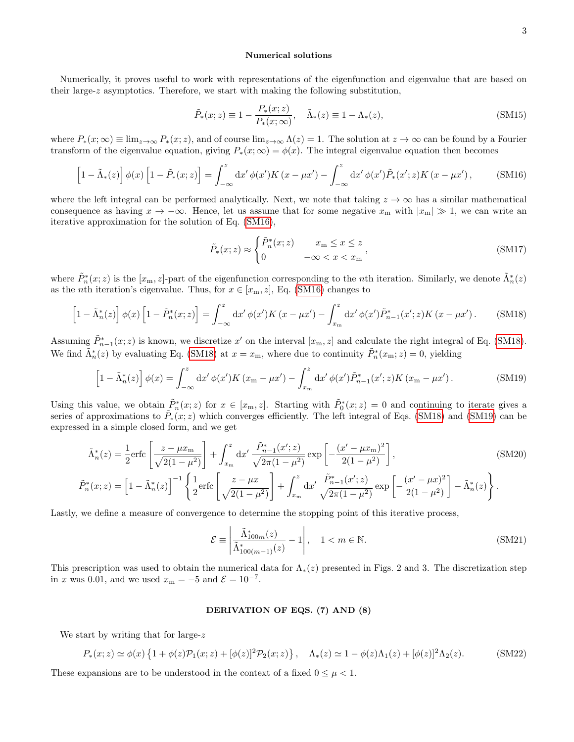## Numerical solutions

Numerically, it proves useful to work with representations of the eigenfunction and eigenvalue that are based on their large- $z$  asymptotics. Therefore, we start with making the following substitution,

$$
\tilde{P}_*(x; z) \equiv 1 - \frac{P_*(x; z)}{P_*(x; \infty)}, \quad \tilde{\Lambda}_*(z) \equiv 1 - \Lambda_*(z), \tag{SM15}
$$

where  $P_*(x;\infty) \equiv \lim_{z\to\infty} P_*(x;z)$ , and of course  $\lim_{z\to\infty} \Lambda(z) = 1$ . The solution at  $z\to\infty$  can be found by a Fourier transform of the eigenvalue equation, giving  $P_*(x;\infty) = \phi(x)$ . The integral eigenvalue equation then becomes

<span id="page-8-0"></span>
$$
\left[1-\tilde{\Lambda}_{*}(z)\right]\phi(x)\left[1-\tilde{P}_{*}(x;z)\right]=\int_{-\infty}^{z} \mathrm{d}x'\,\phi(x')K\left(x-\mu x'\right)-\int_{-\infty}^{z} \mathrm{d}x'\,\phi(x')\tilde{P}_{*}(x';z)K\left(x-\mu x'\right),\tag{SM16}
$$

where the left integral can be performed analytically. Next, we note that taking  $z \to \infty$  has a similar mathematical consequence as having  $x \to -\infty$ . Hence, let us assume that for some negative  $x_m$  with  $|x_m| \gg 1$ , we can write an iterative approximation for the solution of Eq. [\(SM16\)](#page-8-0),

$$
\tilde{P}_*(x;z) \approx \begin{cases} \tilde{P}_n^*(x;z) & x_m \le x \le z \\ 0 & -\infty < x < x_m \end{cases},
$$
\n(SM17)

where  $\tilde{P}_n^*(x;z)$  is the  $[x_m, z]$ -part of the eigenfunction corresponding to the *n*th iteration. Similarly, we denote  $\tilde{\Lambda}_n^*(z)$ as the *n*th iteration's eigenvalue. Thus, for  $x \in [x_m, z]$ , Eq. [\(SM16\)](#page-8-0) changes to

<span id="page-8-1"></span>
$$
\left[1-\tilde{\Lambda}_n^*(z)\right]\phi(x)\left[1-\tilde{P}_n^*(x;z)\right] = \int_{-\infty}^z \mathrm{d}x' \,\phi(x')K\left(x-\mu x'\right) - \int_{x_m}^z \mathrm{d}x' \,\phi(x')\tilde{P}_{n-1}^*(x';z)K\left(x-\mu x'\right). \tag{SM18}
$$

Assuming  $\tilde{P}_{n-1}^*(x;z)$  is known, we discretize x' on the interval  $[x_m, z]$  and calculate the right integral of Eq. [\(SM18\)](#page-8-1). We find  $\tilde{\Lambda}_n^*(z)$  by evaluating Eq. [\(SM18\)](#page-8-1) at  $x = x_m$ , where due to continuity  $\tilde{P}_n^*(x_m; z) = 0$ , yielding

<span id="page-8-2"></span>
$$
\left[1-\tilde{\Lambda}_n^*(z)\right]\phi(x) = \int_{-\infty}^z \mathrm{d}x' \,\phi(x')K\left(x_{\rm m}-\mu x'\right) - \int_{x_{\rm m}}^z \mathrm{d}x' \,\phi(x')\tilde{P}_{n-1}^*(x';z)K\left(x_{\rm m}-\mu x'\right). \tag{SM19}
$$

Using this value, we obtain  $\tilde{P}_n^*(x;z)$  for  $x \in [x_m, z]$ . Starting with  $\tilde{P}_0^*(x;z) = 0$  and continuing to iterate gives a series of approximations to  $\tilde{P}_*(x;z)$  which converges efficiently. The left integral of Eqs. [\(SM18\)](#page-8-1) and [\(SM19\)](#page-8-2) can be expressed in a simple closed form, and we get

$$
\tilde{\Lambda}_{n}^{*}(z) = \frac{1}{2} \text{erfc}\left[\frac{z - \mu x_{\text{m}}}{\sqrt{2(1 - \mu^{2})}}\right] + \int_{x_{\text{m}}}^{z} dx' \frac{\tilde{P}_{n-1}^{*}(x'; z)}{\sqrt{2\pi(1 - \mu^{2})}} \exp\left[-\frac{(x' - \mu x_{\text{m}})^{2}}{2(1 - \mu^{2})}\right],
$$
\n
$$
\tilde{P}_{n}^{*}(x; z) = \left[1 - \tilde{\Lambda}_{n}^{*}(z)\right]^{-1} \left\{\frac{1}{2} \text{erfc}\left[\frac{z - \mu x}{\sqrt{2(1 - \mu^{2})}}\right] + \int_{x_{\text{m}}}^{z} dx' \frac{\tilde{P}_{n-1}^{*}(x'; z)}{\sqrt{2\pi(1 - \mu^{2})}} \exp\left[-\frac{(x' - \mu x)^{2}}{2(1 - \mu^{2})}\right] - \tilde{\Lambda}_{n}^{*}(z)\right\}.
$$
\n(SM20)

Lastly, we define a measure of convergence to determine the stopping point of this iterative process,

$$
\mathcal{E} \equiv \left| \frac{\tilde{\Lambda}_{100m}^*(z)}{\tilde{\Lambda}_{100(m-1)}^*(z)} - 1 \right|, \quad 1 < m \in \mathbb{N}.\tag{SM21}
$$

This prescription was used to obtain the numerical data for  $\Lambda_*(z)$  presented in Figs. 2 and 3. The discretization step in x was 0.01, and we used  $x_m = -5$  and  $\mathcal{E} = 10^{-7}$ .

#### DERIVATION OF EQS. (7) AND (8)

We start by writing that for large-z.

<span id="page-8-3"></span>
$$
P_*(x;z) \simeq \phi(x) \left\{ 1 + \phi(z) \mathcal{P}_1(x;z) + [\phi(z)]^2 \mathcal{P}_2(x;z) \right\}, \quad \Lambda_*(z) \simeq 1 - \phi(z) \Lambda_1(z) + [\phi(z)]^2 \Lambda_2(z). \tag{SM22}
$$

These expansions are to be understood in the context of a fixed  $0 \leq \mu < 1$ .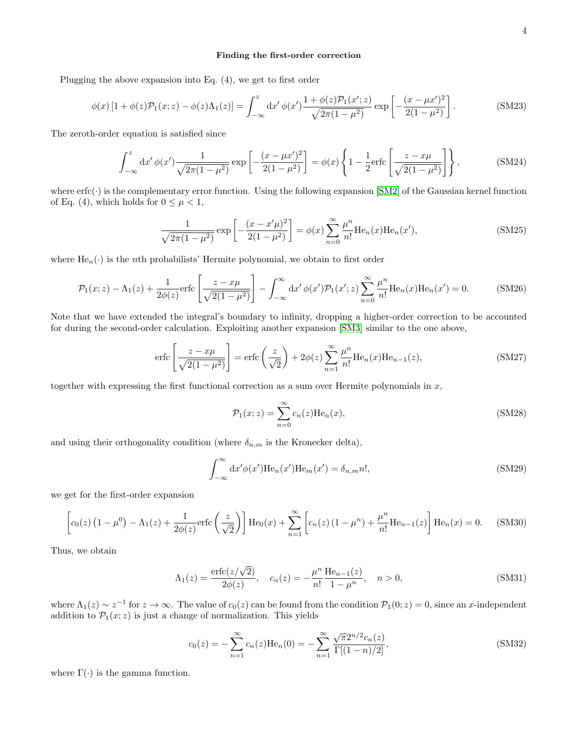## Finding the first-order correction

Plugging the above expansion into Eq. (4), we get to first order

$$
\phi(x) \left[ 1 + \phi(z) \mathcal{P}_1(x; z) - \phi(z) \Lambda_1(z) \right] = \int_{-\infty}^z dx' \, \phi(x') \frac{1 + \phi(z) \mathcal{P}_1(x'; z)}{\sqrt{2\pi (1 - \mu^2)}} \exp\left[ -\frac{(x - \mu x')^2}{2(1 - \mu^2)} \right]. \tag{SM23}
$$

The zeroth-order equation is satisfied since

$$
\int_{-\infty}^{z} dx' \phi(x') \frac{1}{\sqrt{2\pi (1 - \mu^2)}} \exp\left[ -\frac{(x - \mu x')^2}{2(1 - \mu^2)} \right] = \phi(x) \left\{ 1 - \frac{1}{2} \text{erfc} \left[ \frac{z - x\mu}{\sqrt{2(1 - \mu^2)}} \right] \right\},\tag{SM24}
$$

where  $erfc(\cdot)$  is the complementary error function. Using the following expansion [\[SM2\]](#page-17-1) of the Gaussian kernel function of Eq. (4), which holds for  $0 \leq \mu < 1$ ,

<span id="page-9-3"></span>
$$
\frac{1}{\sqrt{2\pi(1-\mu^2)}} \exp\left[-\frac{(x-x'\mu)^2}{2(1-\mu^2)}\right] = \phi(x) \sum_{n=0}^{\infty} \frac{\mu^n}{n!} \text{He}_n(x) \text{He}_n(x'),\tag{SM25}
$$

where  $\text{He}_n(\cdot)$  is the *n*th probabilists' Hermite polynomial, we obtain to first order

<span id="page-9-0"></span>
$$
\mathcal{P}_1(x;z) - \Lambda_1(z) + \frac{1}{2\phi(z)} \text{erfc}\left[\frac{z - x\mu}{\sqrt{2(1 - \mu^2)}}\right] - \int_{-\infty}^{\infty} dx' \phi(x') \mathcal{P}_1(x';z) \sum_{n=0}^{\infty} \frac{\mu^n}{n!} \text{He}_n(x) \text{He}_n(x') = 0. \tag{SM26}
$$

Note that we have extended the integral's boundary to infinity, dropping a higher-order correction to be accounted for during the second-order calculation. Exploiting another expansion [\[SM3\]](#page-17-2) similar to the one above,

<span id="page-9-2"></span>
$$
\operatorname{erfc}\left[\frac{z - x\mu}{\sqrt{2(1 - \mu^2)}}\right] = \operatorname{erfc}\left(\frac{z}{\sqrt{2}}\right) + 2\phi(z)\sum_{n=1}^{\infty} \frac{\mu^n}{n!} \operatorname{He}_n(x) \operatorname{He}_{n-1}(z),\tag{SM27}
$$

together with expressing the first functional correction as a sum over Hermite polynomials in  $x$ ,

$$
\mathcal{P}_1(x;z) = \sum_{n=0}^{\infty} c_n(z) \text{He}_n(x),\tag{SM28}
$$

and using their orthogonality condition (where  $\delta_{n,m}$  is the Kronecker delta),

$$
\int_{-\infty}^{\infty} dx' \phi(x') \text{He}_n(x') \text{He}_m(x') = \delta_{n,m} n!,\tag{SM29}
$$

we get for the first-order expansion

$$
\left[c_{0}(z)\left(1-\mu^{0}\right)-\Lambda_{1}(z)+\frac{1}{2\phi(z)}\text{erfc}\left(\frac{z}{\sqrt{2}}\right)\right]\text{He}_{0}(x)+\sum_{n=1}^{\infty}\left[c_{n}(z)\left(1-\mu^{n}\right)+\frac{\mu^{n}}{n!}\text{He}_{n-1}(z)\right]\text{He}_{n}(x)=0.
$$
 (SM30)

Thus, we obtain

<span id="page-9-1"></span>
$$
\Lambda_1(z) = \frac{\text{erfc}(z/\sqrt{2})}{2\phi(z)}, \quad c_n(z) = -\frac{\mu^n}{n!} \frac{\text{He}_{n-1}(z)}{1 - \mu^n}, \quad n > 0,
$$
\n(SM31)

where  $\Lambda_1(z) \sim z^{-1}$  for  $z \to \infty$ . The value of  $c_0(z)$  can be found from the condition  $\mathcal{P}_1(0; z) = 0$ , since an x-independent addition to  $\mathcal{P}_1(x; z)$  is just a change of normalization. This yields

$$
c_0(z) = -\sum_{n=1}^{\infty} c_n(z) \text{He}_n(0) = -\sum_{n=1}^{\infty} \frac{\sqrt{\pi} 2^{n/2} c_n(z)}{\Gamma[(1-n)/2]},
$$
\n(SM32)

where  $\Gamma(\cdot)$  is the gamma function.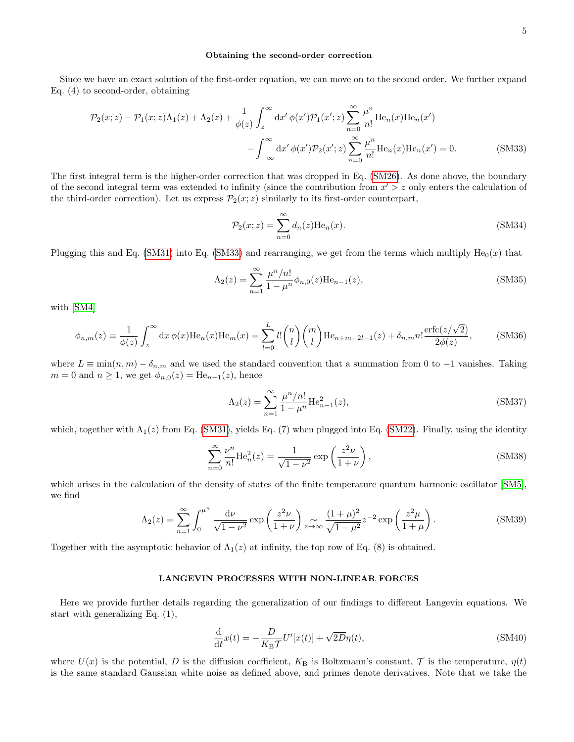#### Obtaining the second-order correction

Since we have an exact solution of the first-order equation, we can move on to the second order. We further expand Eq. (4) to second-order, obtaining

$$
\mathcal{P}_2(x;z) - \mathcal{P}_1(x;z)\Lambda_1(z) + \Lambda_2(z) + \frac{1}{\phi(z)} \int_z^\infty dx' \phi(x') \mathcal{P}_1(x';z) \sum_{n=0}^\infty \frac{\mu^n}{n!} \text{He}_n(x) \text{He}_n(x')
$$

$$
- \int_{-\infty}^\infty dx' \phi(x') \mathcal{P}_2(x';z) \sum_{n=0}^\infty \frac{\mu^n}{n!} \text{He}_n(x) \text{He}_n(x') = 0. \tag{SM33}
$$

The first integral term is the higher-order correction that was dropped in Eq. [\(SM26\)](#page-9-0). As done above, the boundary of the second integral term was extended to infinity (since the contribution from  $x' > z$  only enters the calculation of the third-order correction). Let us express  $\mathcal{P}_2(x; z)$  similarly to its first-order counterpart,

<span id="page-10-0"></span>
$$
\mathcal{P}_2(x;z) = \sum_{n=0}^{\infty} d_n(z) \text{He}_n(x).
$$
 (SM34)

Plugging this and Eq. [\(SM31\)](#page-9-1) into Eq. [\(SM33\)](#page-10-0) and rearranging, we get from the terms which multiply  $He_0(x)$  that

$$
\Lambda_2(z) = \sum_{n=1}^{\infty} \frac{\mu^n/n!}{1 - \mu^n} \phi_{n,0}(z) \text{He}_{n-1}(z),\tag{SM35}
$$

with [\[SM4\]](#page-18-0)

<span id="page-10-2"></span>
$$
\phi_{n,m}(z) \equiv \frac{1}{\phi(z)} \int_z^{\infty} dx \, \phi(x) \text{He}_n(x) \text{He}_m(x) = \sum_{l=0}^L l! \binom{n}{l} \binom{m}{l} \text{He}_{n+m-2l-1}(z) + \delta_{n,m} n! \frac{\text{erfc}(z/\sqrt{2})}{2\phi(z)},\tag{SM36}
$$

where  $L \equiv \min(n, m) - \delta_{n,m}$  and we used the standard convention that a summation from 0 to -1 vanishes. Taking  $m = 0$  and  $n \geq 1$ , we get  $\phi_{n,0}(z) = \text{He}_{n-1}(z)$ , hence

$$
\Lambda_2(z) = \sum_{n=1}^{\infty} \frac{\mu^n/n!}{1 - \mu^n} \text{He}_{n-1}^2(z),\tag{SM37}
$$

which, together with  $\Lambda_1(z)$  from Eq. [\(SM31\)](#page-9-1), yields Eq. (7) when plugged into Eq. [\(SM22\)](#page-8-3). Finally, using the identity

$$
\sum_{n=0}^{\infty} \frac{\nu^n}{n!} \text{He}_n^2(z) = \frac{1}{\sqrt{1-\nu^2}} \exp\left(\frac{z^2 \nu}{1+\nu}\right),\tag{SM38}
$$

which arises in the calculation of the density of states of the finite temperature quantum harmonic oscillator [\[SM5\]](#page-18-1), we find

$$
\Lambda_2(z) = \sum_{n=1}^{\infty} \int_0^{\mu^n} \frac{\mathrm{d}\nu}{\sqrt{1-\nu^2}} \exp\left(\frac{z^2 \nu}{1+\nu}\right) \underset{z \to \infty}{\sim} \frac{(1+\mu)^2}{\sqrt{1-\mu^2}} z^{-2} \exp\left(\frac{z^2 \mu}{1+\mu}\right). \tag{SM39}
$$

Together with the asymptotic behavior of  $\Lambda_1(z)$  at infinity, the top row of Eq. (8) is obtained.

## LANGEVIN PROCESSES WITH NON-LINEAR FORCES

Here we provide further details regarding the generalization of our findings to different Langevin equations. We start with generalizing Eq. (1),

<span id="page-10-1"></span>
$$
\frac{\mathrm{d}}{\mathrm{d}t}x(t) = -\frac{D}{K_{\mathrm{B}}\mathcal{T}}U'[x(t)] + \sqrt{2D}\eta(t),\tag{SM40}
$$

where  $U(x)$  is the potential, D is the diffusion coefficient,  $K_B$  is Boltzmann's constant, T is the temperature,  $\eta(t)$ is the same standard Gaussian white noise as defined above, and primes denote derivatives. Note that we take the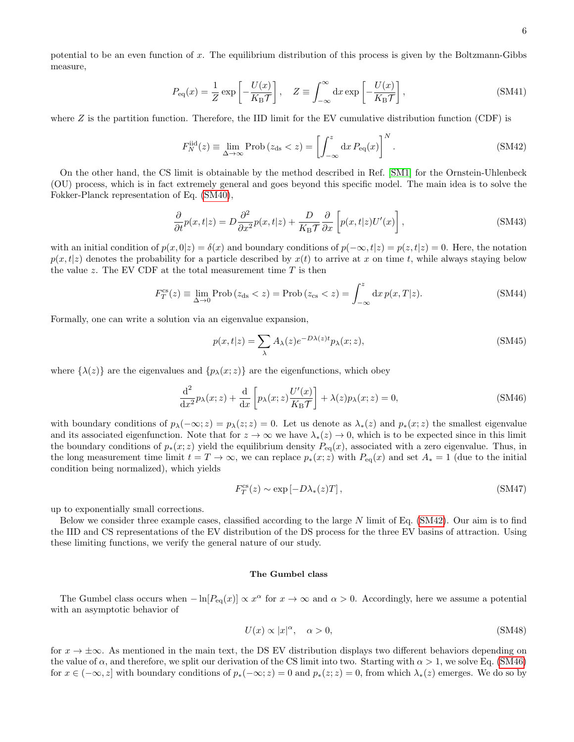$$
P_{\text{eq}}(x) = \frac{1}{Z} \exp\left[-\frac{U(x)}{K_{\text{B}}T}\right], \quad Z \equiv \int_{-\infty}^{\infty} \mathrm{d}x \exp\left[-\frac{U(x)}{K_{\text{B}}T}\right],\tag{SM41}
$$

where  $Z$  is the partition function. Therefore, the IID limit for the EV cumulative distribution function (CDF) is

<span id="page-11-0"></span>
$$
F_N^{\text{iid}}(z) \equiv \lim_{\Delta \to \infty} \text{Prob}\left(z_{\text{ds}} < z\right) = \left[\int_{-\infty}^z \mathrm{d}x \, P_{\text{eq}}(x)\right]^N. \tag{SM42}
$$

On the other hand, the CS limit is obtainable by the method described in Ref. [\[SM1\]](#page-17-0) for the Ornstein-Uhlenbeck (OU) process, which is in fact extremely general and goes beyond this specific model. The main idea is to solve the Fokker-Planck representation of Eq. [\(SM40\)](#page-10-1),

<span id="page-11-4"></span>
$$
\frac{\partial}{\partial t}p(x,t|z) = D\frac{\partial^2}{\partial x^2}p(x,t|z) + \frac{D}{K_B\mathcal{T}}\frac{\partial}{\partial x}\left[p(x,t|z)U'(x)\right],\tag{SM43}
$$

with an initial condition of  $p(x, 0|z) = \delta(x)$  and boundary conditions of  $p(-\infty, t|z) = p(z, t|z) = 0$ . Here, the notation  $p(x,t|z)$  denotes the probability for a particle described by  $x(t)$  to arrive at x on time t, while always staying below the value z. The EV CDF at the total measurement time  $T$  is then

$$
F_T^{\text{cs}}(z) \equiv \lim_{\Delta \to 0} \text{Prob}\left(z_{\text{ds}} < z\right) = \text{Prob}\left(z_{\text{cs}} < z\right) = \int_{-\infty}^z \mathrm{d}x \, p(x, T|z). \tag{SM44}
$$

Formally, one can write a solution via an eigenvalue expansion,

$$
p(x,t|z) = \sum_{\lambda} A_{\lambda}(z)e^{-D\lambda(z)t}p_{\lambda}(x;z),
$$
\n(SM45)

where  $\{\lambda(z)\}\$ are the eigenvalues and  $\{p_{\lambda}(x;z)\}\$ are the eigenfunctions, which obey

<span id="page-11-1"></span>
$$
\frac{\mathrm{d}^2}{\mathrm{d}x^2}p_\lambda(x;z) + \frac{\mathrm{d}}{\mathrm{d}x} \left[ p_\lambda(x;z) \frac{U'(x)}{K_{\mathrm{B}}\mathcal{T}} \right] + \lambda(z)p_\lambda(x;z) = 0,
$$
\n(SM46)

with boundary conditions of  $p_{\lambda}(-\infty;z) = p_{\lambda}(z;z) = 0$ . Let us denote as  $\lambda_*(z)$  and  $p_*(x;z)$  the smallest eigenvalue and its associated eigenfunction. Note that for  $z \to \infty$  we have  $\lambda_*(z) \to 0$ , which is to be expected since in this limit the boundary conditions of  $p_*(x; z)$  yield the equilibrium density  $P_{eq}(x)$ , associated with a zero eigenvalue. Thus, in the long measurement time limit  $t = T \to \infty$ , we can replace  $p_*(x; z)$  with  $P_{\text{eq}}(x)$  and set  $A_* = 1$  (due to the initial condition being normalized), which yields

<span id="page-11-3"></span>
$$
F_T^{\rm cs}(z) \sim \exp\left[-D\lambda_*(z)T\right],\tag{SM47}
$$

up to exponentially small corrections.

measure,

Below we consider three example cases, classified according to the large N limit of Eq. [\(SM42\)](#page-11-0). Our aim is to find the IID and CS representations of the EV distribution of the DS process for the three EV basins of attraction. Using these limiting functions, we verify the general nature of our study.

## The Gumbel class

The Gumbel class occurs when  $-\ln[P_{eq}(x)] \propto x^{\alpha}$  for  $x \to \infty$  and  $\alpha > 0$ . Accordingly, here we assume a potential with an asymptotic behavior of

<span id="page-11-2"></span>
$$
U(x) \propto |x|^{\alpha}, \quad \alpha > 0,
$$
\n(SM48)

for  $x \to \pm \infty$ . As mentioned in the main text, the DS EV distribution displays two different behaviors depending on the value of  $\alpha$ , and therefore, we split our derivation of the CS limit into two. Starting with  $\alpha > 1$ , we solve Eq. [\(SM46\)](#page-11-1) for  $x \in (-\infty, z]$  with boundary conditions of  $p_*(-\infty; z) = 0$  and  $p_*(z; z) = 0$ , from which  $\lambda_*(z)$  emerges. We do so by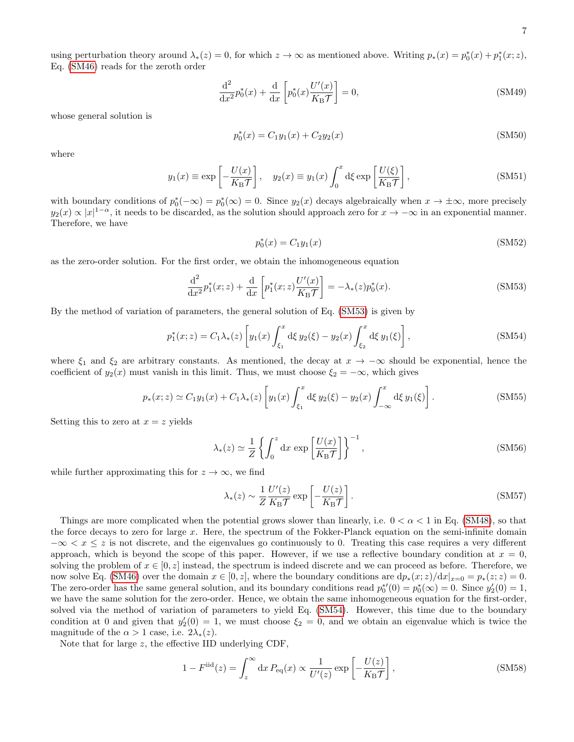using perturbation theory around  $\lambda_*(z) = 0$ , for which  $z \to \infty$  as mentioned above. Writing  $p_*(x) = p_0^*(x) + p_1^*(x; z)$ , Eq. [\(SM46\)](#page-11-1) reads for the zeroth order

$$
\frac{\mathrm{d}^2}{\mathrm{d}x^2}p_0^*(x) + \frac{\mathrm{d}}{\mathrm{d}x} \left[ p_0^*(x) \frac{U'(x)}{K_{\mathrm{B}}\mathcal{T}} \right] = 0,\tag{SM49}
$$

whose general solution is

$$
p_0^*(x) = C_1 y_1(x) + C_2 y_2(x)
$$
 (SM50)

where

$$
y_1(x) \equiv \exp\left[-\frac{U(x)}{K_{\rm B}\mathcal{T}}\right], \quad y_2(x) \equiv y_1(x) \int_0^x \mathrm{d}\xi \exp\left[\frac{U(\xi)}{K_{\rm B}\mathcal{T}}\right],\tag{SM51}
$$

with boundary conditions of  $p_0^*(-\infty) = p_0^*(\infty) = 0$ . Since  $y_2(x)$  decays algebraically when  $x \to \pm \infty$ , more precisely  $y_2(x) \propto |x|^{1-\alpha}$ , it needs to be discarded, as the solution should approach zero for  $x \to -\infty$  in an exponential manner. Therefore, we have

$$
p_0^*(x) = C_1 y_1(x) \tag{SM52}
$$

as the zero-order solution. For the first order, we obtain the inhomogeneous equation

<span id="page-12-0"></span>
$$
\frac{\mathrm{d}^2}{\mathrm{d}x^2}p_1^*(x;z) + \frac{\mathrm{d}}{\mathrm{d}x} \left[ p_1^*(x;z) \frac{U'(x)}{K_{\mathrm{B}}\mathcal{T}} \right] = -\lambda_*(z)p_0^*(x). \tag{SM53}
$$

By the method of variation of parameters, the general solution of Eq. [\(SM53\)](#page-12-0) is given by

<span id="page-12-1"></span>
$$
p_1^*(x; z) = C_1 \lambda_*(z) \left[ y_1(x) \int_{\xi_1}^x d\xi \, y_2(\xi) - y_2(x) \int_{\xi_2}^x d\xi \, y_1(\xi) \right],\tag{SM54}
$$

where  $\xi_1$  and  $\xi_2$  are arbitrary constants. As mentioned, the decay at  $x \to -\infty$  should be exponential, hence the coefficient of  $y_2(x)$  must vanish in this limit. Thus, we must choose  $\xi_2 = -\infty$ , which gives

$$
p_*(x; z) \simeq C_1 y_1(x) + C_1 \lambda_*(z) \left[ y_1(x) \int_{\xi_1}^x d\xi \, y_2(\xi) - y_2(x) \int_{-\infty}^x d\xi \, y_1(\xi) \right]. \tag{SM55}
$$

Setting this to zero at  $x = z$  yields

<span id="page-12-2"></span>
$$
\lambda_*(z) \simeq \frac{1}{Z} \left\{ \int_0^z dx \, \exp\left[\frac{U(x)}{K_{\rm B} \mathcal{T}}\right] \right\}^{-1},\tag{SM56}
$$

while further approximating this for  $z \to \infty$ , we find

$$
\lambda_*(z) \sim \frac{1}{Z} \frac{U'(z)}{K_{\rm B} \mathcal{T}} \exp\left[-\frac{U(z)}{K_{\rm B} \mathcal{T}}\right].
$$
\n(SM57)

Things are more complicated when the potential grows slower than linearly, i.e.  $0 < \alpha < 1$  in Eq. [\(SM48\)](#page-11-2), so that the force decays to zero for large x. Here, the spectrum of the Fokker-Planck equation on the semi-infinite domain  $-\infty < x \leq z$  is not discrete, and the eigenvalues go continuously to 0. Treating this case requires a very different approach, which is beyond the scope of this paper. However, if we use a reflective boundary condition at  $x = 0$ , solving the problem of  $x \in [0, z]$  instead, the spectrum is indeed discrete and we can proceed as before. Therefore, we now solve Eq. [\(SM46\)](#page-11-1) over the domain  $x \in [0, z]$ , where the boundary conditions are  $dp_*(x; z)/dx|_{x=0} = p_*(z; z) = 0$ . The zero-order has the same general solution, and its boundary conditions read  $p_0^*(0) = p_0^*(\infty) = 0$ . Since  $y_2'(0) = 1$ , we have the same solution for the zero-order. Hence, we obtain the same inhomogeneous equation for the first-order, solved via the method of variation of parameters to yield Eq. [\(SM54\)](#page-12-1). However, this time due to the boundary condition at 0 and given that  $y_2'(0) = 1$ , we must choose  $\xi_2 = 0$ , and we obtain an eigenvalue which is twice the magnitude of the  $\alpha > 1$  case, i.e.  $2\lambda_*(z)$ .

Note that for large  $z$ , the effective IID underlying CDF,

$$
1 - F^{\rm iid}(z) = \int_z^\infty dx \, P_{\rm eq}(x) \propto \frac{1}{U'(z)} \exp\left[-\frac{U(z)}{K_{\rm B} \mathcal{T}}\right],\tag{SM58}
$$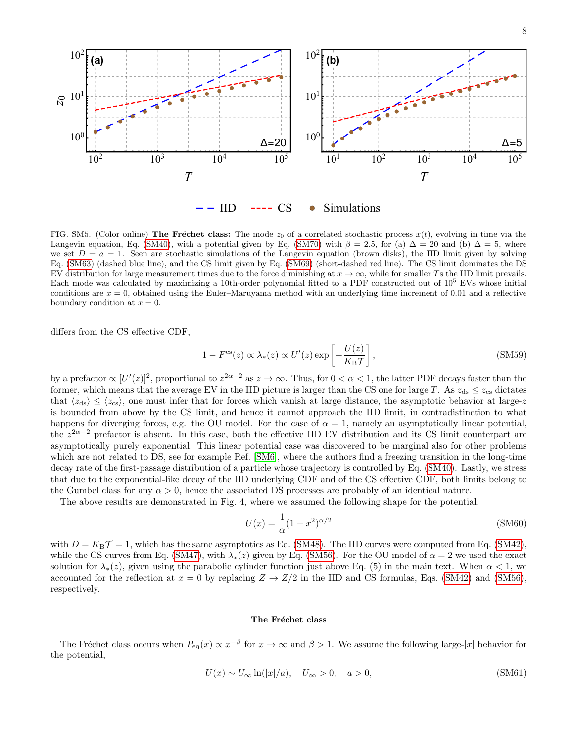

<span id="page-13-1"></span>FIG. SM5. (Color online) The Fréchet class: The mode  $z_0$  of a correlated stochastic process  $x(t)$ , evolving in time via the Langevin equation, Eq. [\(SM40\)](#page-10-1), with a potential given by Eq. [\(SM70\)](#page-14-0) with  $\beta = 2.5$ , for (a)  $\Delta = 20$  and (b)  $\Delta = 5$ , where we set  $D = a = 1$ . Seen are stochastic simulations of the Langevin equation (brown disks), the IID limit given by solving Eq. [\(SM63\)](#page-14-1) (dashed blue line), and the CS limit given by Eq. [\(SM69\)](#page-14-2) (short-dashed red line). The CS limit dominates the DS EV distribution for large measurement times due to the force diminishing at  $x \to \infty$ , while for smaller Ts the IID limit prevails. Each mode was calculated by maximizing a 10th-order polynomial fitted to a PDF constructed out of 10<sup>5</sup> EVs whose initial conditions are  $x = 0$ , obtained using the Euler–Maruyama method with an underlying time increment of 0.01 and a reflective boundary condition at  $x = 0$ .

differs from the CS effective CDF,

$$
1 - Fcs(z) \propto \lambda_*(z) \propto U'(z) \exp\left[-\frac{U(z)}{K_{\rm B}T}\right],
$$
 (SM59)

by a prefactor  $\propto [U'(z)]^2$ , proportional to  $z^{2\alpha-2}$  as  $z \to \infty$ . Thus, for  $0 < \alpha < 1$ , the latter PDF decays faster than the former, which means that the average EV in the IID picture is larger than the CS one for large T. As  $z_{ds} \leq z_{cs}$  dictates that  $\langle z_{ds} \rangle \leq \langle z_{cs} \rangle$ , one must infer that for forces which vanish at large distance, the asymptotic behavior at large-z is bounded from above by the CS limit, and hence it cannot approach the IID limit, in contradistinction to what happens for diverging forces, e.g. the OU model. For the case of  $\alpha = 1$ , namely an asymptotically linear potential, the  $z^{2\alpha-2}$  prefactor is absent. In this case, both the effective IID EV distribution and its CS limit counterpart are asymptotically purely exponential. This linear potential case was discovered to be marginal also for other problems which are not related to DS, see for example Ref. [\[SM6\]](#page-18-2), where the authors find a freezing transition in the long-time decay rate of the first-passage distribution of a particle whose trajectory is controlled by Eq. [\(SM40\)](#page-10-1). Lastly, we stress that due to the exponential-like decay of the IID underlying CDF and of the CS effective CDF, both limits belong to the Gumbel class for any  $\alpha > 0$ , hence the associated DS processes are probably of an identical nature.

The above results are demonstrated in Fig. 4, where we assumed the following shape for the potential,

$$
U(x) = \frac{1}{\alpha} (1 + x^2)^{\alpha/2}
$$
\n(SM60)

with  $D = K_B \mathcal{T} = 1$ , which has the same asymptotics as Eq. [\(SM48\)](#page-11-2). The IID curves were computed from Eq. [\(SM42\)](#page-11-0), while the CS curves from Eq. [\(SM47\)](#page-11-3), with  $\lambda_*(z)$  given by Eq. [\(SM56\)](#page-12-2). For the OU model of  $\alpha = 2$  we used the exact solution for  $\lambda_*(z)$ , given using the parabolic cylinder function just above Eq. (5) in the main text. When  $\alpha < 1$ , we accounted for the reflection at  $x = 0$  by replacing  $Z \to Z/2$  in the IID and CS formulas, Eqs. [\(SM42\)](#page-11-0) and [\(SM56\)](#page-12-2), respectively.

#### The Fréchet class

The Fréchet class occurs when  $P_{eq}(x) \propto x^{-\beta}$  for  $x \to \infty$  and  $\beta > 1$ . We assume the following large-|x| behavior for the potential,

<span id="page-13-0"></span>
$$
U(x) \sim U_{\infty} \ln(|x|/a), \quad U_{\infty} > 0, \quad a > 0,
$$
\n(SM61)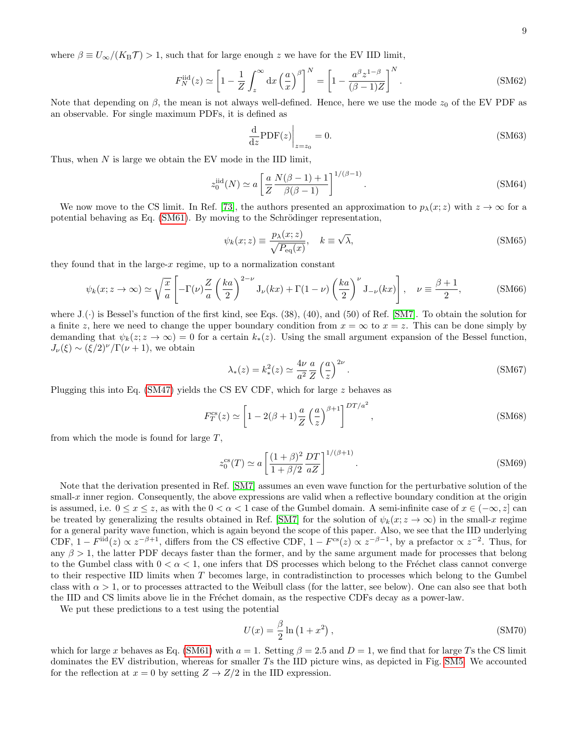where  $\beta \equiv U_{\infty}/(K_{\rm B}\mathcal{T}) > 1$ , such that for large enough z we have for the EV IID limit,

$$
F_N^{\text{iid}}(z) \simeq \left[1 - \frac{1}{Z} \int_z^\infty dx \left(\frac{a}{x}\right)^\beta\right]^N = \left[1 - \frac{a^\beta z^{1-\beta}}{(\beta - 1)Z}\right]^N. \tag{SM62}
$$

Note that depending on  $\beta$ , the mean is not always well-defined. Hence, here we use the mode  $z_0$  of the EV PDF as an observable. For single maximum PDFs, it is defined as

<span id="page-14-1"></span>
$$
\frac{\mathrm{d}}{\mathrm{d}z}\mathrm{PDF}(z)\bigg|_{z=z_0} = 0.\tag{SM63}
$$

Thus, when  $N$  is large we obtain the EV mode in the IID limit,

$$
z_0^{\text{iid}}(N) \simeq a \left[ \frac{a}{Z} \frac{N(\beta - 1) + 1}{\beta(\beta - 1)} \right]^{1/(\beta - 1)}.
$$
\n(SM64)

We now move to the CS limit. In Ref. [\[73\]](#page-5-10), the authors presented an approximation to  $p_{\lambda}(x; z)$  with  $z \to \infty$  for a potential behaving as Eq. [\(SM61\)](#page-13-0). By moving to the Schrödinger representation,

$$
\psi_k(x; z) \equiv \frac{p_\lambda(x; z)}{\sqrt{P_{\text{eq}}(x)}}, \quad k \equiv \sqrt{\lambda}, \tag{SM65}
$$

they found that in the large- $x$  regime, up to a normalization constant

$$
\psi_k(x; z \to \infty) \simeq \sqrt{\frac{x}{a}} \left[ -\Gamma(\nu) \frac{Z}{a} \left( \frac{ka}{2} \right)^{2-\nu} J_{\nu}(kx) + \Gamma(1-\nu) \left( \frac{ka}{2} \right)^{\nu} J_{-\nu}(kx) \right], \quad \nu \equiv \frac{\beta+1}{2}, \tag{SM66}
$$

where  $J_{\cdot}(\cdot)$  is Bessel's function of the first kind, see Eqs. (38), (40), and (50) of Ref. [\[SM7\]](#page-18-3). To obtain the solution for a finite z, here we need to change the upper boundary condition from  $x = \infty$  to  $x = z$ . This can be done simply by demanding that  $\psi_k(z; z \to \infty) = 0$  for a certain  $k_*(z)$ . Using the small argument expansion of the Bessel function,  $J_{\nu}(\xi) \sim (\xi/2)^{\nu}/\Gamma(\nu+1)$ , we obtain

$$
\lambda_*(z) = k_*^2(z) \simeq \frac{4\nu}{a^2} \frac{a}{Z} \left(\frac{a}{z}\right)^{2\nu}.
$$
\n(SM67)

Plugging this into Eq. [\(SM47\)](#page-11-3) yields the CS EV CDF, which for large z behaves as

$$
F_T^{\rm cs}(z) \simeq \left[1 - 2(\beta + 1)\frac{a}{Z} \left(\frac{a}{z}\right)^{\beta + 1}\right]^{DT/a^2},\tag{SM68}
$$

from which the mode is found for large  $T$ ,

<span id="page-14-2"></span>
$$
z_0^{\text{cs}}(T) \simeq a \left[ \frac{(1+\beta)^2}{1+\beta/2} \frac{DT}{aZ} \right]^{1/(\beta+1)}.
$$
\n(SM69)

Note that the derivation presented in Ref. [\[SM7\]](#page-18-3) assumes an even wave function for the perturbative solution of the small-x inner region. Consequently, the above expressions are valid when a reflective boundary condition at the origin is assumed, i.e.  $0 \le x \le z$ , as with the  $0 < \alpha < 1$  case of the Gumbel domain. A semi-infinite case of  $x \in (-\infty, z]$  can be treated by generalizing the results obtained in Ref. [\[SM7\]](#page-18-3) for the solution of  $\psi_k(x; z \to \infty)$  in the small-x regime for a general parity wave function, which is again beyond the scope of this paper. Also, we see that the IID underlying CDF,  $1 - F^{\text{iid}}(z) \propto z^{-\beta+1}$ , differs from the CS effective CDF,  $1 - F^{\text{cs}}(z) \propto z^{-\beta-1}$ , by a prefactor  $\propto z^{-2}$ . Thus, for any  $\beta > 1$ , the latter PDF decays faster than the former, and by the same argument made for processes that belong to the Gumbel class with  $0 < \alpha < 1$ , one infers that DS processes which belong to the Fréchet class cannot converge to their respective IID limits when T becomes large, in contradistinction to processes which belong to the Gumbel class with  $\alpha > 1$ , or to processes attracted to the Weibull class (for the latter, see below). One can also see that both the IID and CS limits above lie in the Fréchet domain, as the respective CDFs decay as a power-law.

We put these predictions to a test using the potential

<span id="page-14-0"></span>
$$
U(x) = \frac{\beta}{2} \ln \left( 1 + x^2 \right),\tag{SM70}
$$

which for large x behaves as Eq. [\(SM61\)](#page-13-0) with  $a = 1$ . Setting  $\beta = 2.5$  and  $D = 1$ , we find that for large Ts the CS limit dominates the EV distribution, whereas for smaller Ts the IID picture wins, as depicted in Fig. [SM5.](#page-13-1) We accounted for the reflection at  $x = 0$  by setting  $Z \rightarrow Z/2$  in the IID expression.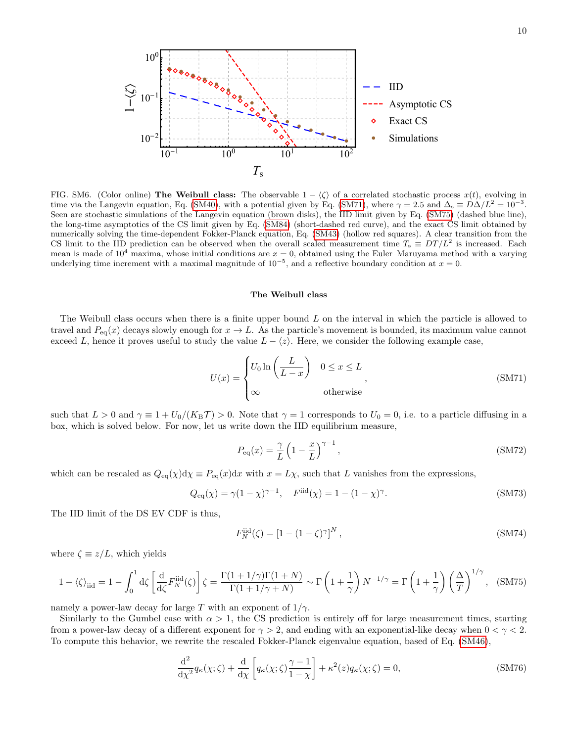

<span id="page-15-2"></span>FIG. SM6. (Color online) The Weibull class: The observable  $1 - \langle \zeta \rangle$  of a correlated stochastic process  $x(t)$ , evolving in time via the Langevin equation, Eq. [\(SM40\)](#page-10-1), with a potential given by Eq. [\(SM71\)](#page-15-0), where  $\gamma = 2.5$  and  $\Delta_s \equiv D\Delta/L^2 = 10^{-3}$ . Seen are stochastic simulations of the Langevin equation (brown disks), the IID limit given by Eq. [\(SM75\)](#page-15-1) (dashed blue line), the long-time asymptotics of the CS limit given by Eq. [\(SM84\)](#page-17-3) (short-dashed red curve), and the exact CS limit obtained by numerically solving the time-dependent Fokker-Planck equation, Eq. [\(SM43\)](#page-11-4) (hollow red squares). A clear transition from the CS limit to the IID prediction can be observed when the overall scaled measurement time  $T_s \equiv DT/L^2$  is increased. Each mean is made of  $10^4$  maxima, whose initial conditions are  $x = 0$ , obtained using the Euler–Maruyama method with a varying underlying time increment with a maximal magnitude of  $10^{-5}$ , and a reflective boundary condition at  $x = 0$ .

## The Weibull class

The Weibull class occurs when there is a finite upper bound L on the interval in which the particle is allowed to travel and  $P_{eq}(x)$  decays slowly enough for  $x \to L$ . As the particle's movement is bounded, its maximum value cannot exceed L, hence it proves useful to study the value  $L - \langle z \rangle$ . Here, we consider the following example case,

<span id="page-15-0"></span>
$$
U(x) = \begin{cases} U_0 \ln\left(\frac{L}{L-x}\right) & 0 \le x \le L \\ \infty & \text{otherwise} \end{cases}
$$
 (SM71)

such that  $L > 0$  and  $\gamma \equiv 1 + U_0/(K_{\rm B}T) > 0$ . Note that  $\gamma = 1$  corresponds to  $U_0 = 0$ , i.e. to a particle diffusing in a box, which is solved below. For now, let us write down the IID equilibrium measure,

$$
P_{\text{eq}}(x) = \frac{\gamma}{L} \left( 1 - \frac{x}{L} \right)^{\gamma - 1},\tag{SM72}
$$

which can be rescaled as  $Q_{eq}(\chi) d\chi \equiv P_{eq}(x) dx$  with  $x = L\chi$ , such that L vanishes from the expressions,

$$
Q_{\text{eq}}(\chi) = \gamma (1 - \chi)^{\gamma - 1}, \quad F^{\text{iid}}(\chi) = 1 - (1 - \chi)^{\gamma}.
$$
 (SM73)

The IID limit of the DS EV CDF is thus,

$$
F_N^{\text{iid}}(\zeta) = [1 - (1 - \zeta)^{\gamma}]^N ,\tag{SM74}
$$

where  $\zeta \equiv z/L$ , which yields

<span id="page-15-1"></span>
$$
1 - \langle \zeta \rangle_{\text{iid}} = 1 - \int_0^1 \mathrm{d}\zeta \left[ \frac{\mathrm{d}}{\mathrm{d}\zeta} F_N^{\text{iid}}(\zeta) \right] \zeta = \frac{\Gamma(1 + 1/\gamma)\Gamma(1 + N)}{\Gamma(1 + 1/\gamma + N)} \sim \Gamma\left(1 + \frac{1}{\gamma}\right) N^{-1/\gamma} = \Gamma\left(1 + \frac{1}{\gamma}\right) \left(\frac{\Delta}{T}\right)^{1/\gamma}, \quad \text{(SM75)}
$$

namely a power-law decay for large T with an exponent of  $1/\gamma$ .

Similarly to the Gumbel case with  $\alpha > 1$ , the CS prediction is entirely off for large measurement times, starting from a power-law decay of a different exponent for  $\gamma > 2$ , and ending with an exponential-like decay when  $0 < \gamma < 2$ . To compute this behavior, we rewrite the rescaled Fokker-Planck eigenvalue equation, based of Eq. [\(SM46\)](#page-11-1),

$$
\frac{\mathrm{d}^2}{\mathrm{d}\chi^2} q_\kappa(\chi;\zeta) + \frac{\mathrm{d}}{\mathrm{d}\chi} \left[ q_\kappa(\chi;\zeta) \frac{\gamma - 1}{1 - \chi} \right] + \kappa^2(z) q_\kappa(\chi;\zeta) = 0, \tag{SM76}
$$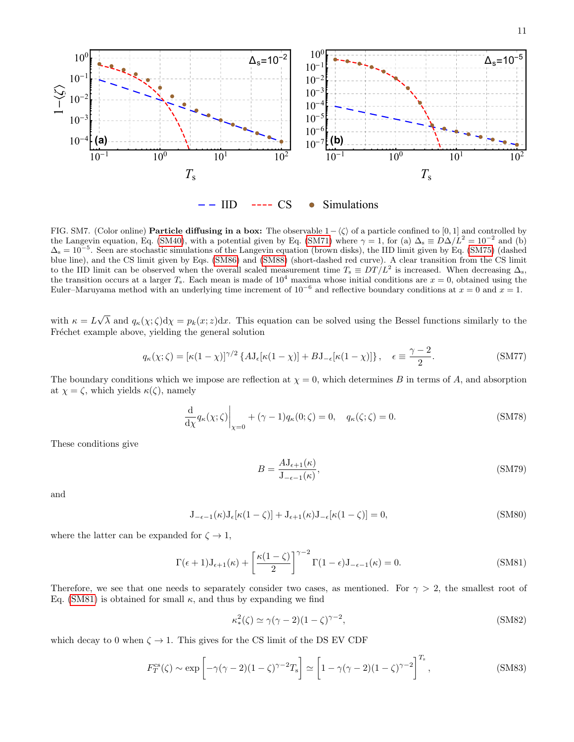

<span id="page-16-1"></span>FIG. SM7. (Color online) Particle diffusing in a box: The observable  $1-\langle \zeta \rangle$  of a particle confined to [0, 1] and controlled by the Langevin equation, Eq. [\(SM40\)](#page-10-1), with a potential given by Eq. [\(SM71\)](#page-15-0) where  $\gamma = 1$ , for (a)  $\Delta_s \equiv D\Delta/L^2 = 10^{-2}$  and (b)  $\Delta_s = 10^{-5}$ . Seen are stochastic simulations of the Langevin equation (brown disks), the IID limit given by Eq. [\(SM75\)](#page-15-1) (dashed blue line), and the CS limit given by Eqs. [\(SM86\)](#page-17-4) and [\(SM88\)](#page-17-5) (short-dashed red curve). A clear transition from the CS limit to the IID limit can be observed when the overall scaled measurement time  $T_s \equiv DT/L^2$  is increased. When decreasing  $\Delta_s$ , the transition occurs at a larger  $T_s$ . Each mean is made of  $10^4$  maxima whose initial conditions are  $x = 0$ , obtained using the Euler–Maruyama method with an underlying time increment of  $10^{-6}$  and reflective boundary conditions at  $x = 0$  and  $x = 1$ .

with  $\kappa = L$ √  $\lambda$  and  $q_{\kappa}(\chi;\zeta)d\chi = p_k(x;z)dx$ . This equation can be solved using the Bessel functions similarly to the Fréchet example above, yielding the general solution

$$
q_{\kappa}(\chi;\zeta) = [\kappa(1-\chi)]^{\gamma/2} \left\{ A \mathbf{J}_{\epsilon}[\kappa(1-\chi)] + B \mathbf{J}_{-\epsilon}[\kappa(1-\chi)] \right\}, \quad \epsilon \equiv \frac{\gamma-2}{2}.
$$
 (SM77)

The boundary conditions which we impose are reflection at  $\chi = 0$ , which determines B in terms of A, and absorption at  $\chi = \zeta$ , which yields  $\kappa(\zeta)$ , namely

$$
\frac{\mathrm{d}}{\mathrm{d}\chi} q_{\kappa}(\chi;\zeta)\Big|_{\chi=0} + (\gamma - 1)q_{\kappa}(0;\zeta) = 0, \quad q_{\kappa}(\zeta;\zeta) = 0. \tag{SM78}
$$

These conditions give

$$
B = \frac{A \mathcal{J}_{\epsilon+1}(\kappa)}{\mathcal{J}_{-\epsilon-1}(\kappa)},\tag{SM79}
$$

and

$$
J_{-\epsilon-1}(\kappa)J_{\epsilon}[\kappa(1-\zeta)] + J_{\epsilon+1}(\kappa)J_{-\epsilon}[\kappa(1-\zeta)] = 0,
$$
\n(SM80)

where the latter can be expanded for  $\zeta \to 1$ ,

<span id="page-16-0"></span>
$$
\Gamma(\epsilon+1)J_{\epsilon+1}(\kappa) + \left[\frac{\kappa(1-\zeta)}{2}\right]^{\gamma-2} \Gamma(1-\epsilon)J_{-\epsilon-1}(\kappa) = 0.
$$
 (SM81)

Therefore, we see that one needs to separately consider two cases, as mentioned. For  $\gamma > 2$ , the smallest root of Eq. [\(SM81\)](#page-16-0) is obtained for small  $\kappa$ , and thus by expanding we find

$$
\kappa_*^2(\zeta) \simeq \gamma(\gamma - 2)(1 - \zeta)^{\gamma - 2},\tag{SM82}
$$

which decay to 0 when  $\zeta \to 1$ . This gives for the CS limit of the DS EV CDF

$$
F_T^{\rm cs}(\zeta) \sim \exp\left[-\gamma(\gamma - 2)(1 - \zeta)^{\gamma - 2}T_{\rm s}\right] \simeq \left[1 - \gamma(\gamma - 2)(1 - \zeta)^{\gamma - 2}\right]^{T_{\rm s}},\tag{SM83}
$$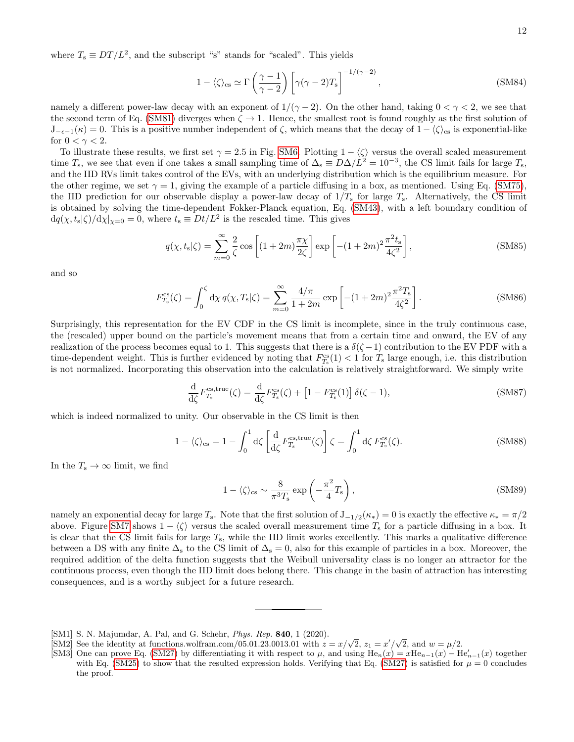where  $T_s \equiv DT/L^2$ , and the subscript "s" stands for "scaled". This yields

<span id="page-17-3"></span>
$$
1 - \langle \zeta \rangle_{\rm cs} \simeq \Gamma \left( \frac{\gamma - 1}{\gamma - 2} \right) \left[ \gamma (\gamma - 2) T_{\rm s} \right]^{-1/(\gamma - 2)}, \tag{SM84}
$$

namely a different power-law decay with an exponent of  $1/(\gamma - 2)$ . On the other hand, taking  $0 < \gamma < 2$ , we see that the second term of Eq. [\(SM81\)](#page-16-0) diverges when  $\zeta \to 1$ . Hence, the smallest root is found roughly as the first solution of  $J_{-\epsilon-1}(\kappa) = 0$ . This is a positive number independent of  $\zeta$ , which means that the decay of  $1 - \langle \zeta \rangle_{\text{cs}}$  is exponential-like for  $0 < \gamma < 2$ .

To illustrate these results, we first set  $\gamma = 2.5$  in Fig. [SM6.](#page-15-2) Plotting  $1 - \langle \zeta \rangle$  versus the overall scaled measurement time  $T_s$ , we see that even if one takes a small sampling time of  $\Delta_s \equiv D\Delta/L^2 = 10^{-3}$ , the CS limit fails for large  $T_s$ , and the IID RVs limit takes control of the EVs, with an underlying distribution which is the equilibrium measure. For the other regime, we set  $\gamma = 1$ , giving the example of a particle diffusing in a box, as mentioned. Using Eq. [\(SM75\)](#page-15-1), the IID prediction for our observable display a power-law decay of  $1/T_s$  for large  $T_s$ . Alternatively, the CS limit is obtained by solving the time-dependent Fokker-Planck equation, Eq. [\(SM43\)](#page-11-4), with a left boundary condition of  $dq(\chi, t_s|\zeta)/d\chi|_{\chi=0} = 0$ , where  $t_s \equiv Dt/L^2$  is the rescaled time. This gives

$$
q(\chi, t_s|\zeta) = \sum_{m=0}^{\infty} \frac{2}{\zeta} \cos\left[ (1+2m)\frac{\pi\chi}{2\zeta} \right] \exp\left[ -(1+2m)^2 \frac{\pi^2 t_s}{4\zeta^2} \right],
$$
 (SM85)

and so

<span id="page-17-4"></span>
$$
F_{T_s}^{\text{cs}}(\zeta) = \int_0^{\zeta} \mathrm{d}\chi \, q(\chi, T_s | \zeta) = \sum_{m=0}^{\infty} \frac{4/\pi}{1+2m} \exp\left[ -(1+2m)^2 \frac{\pi^2 T_s}{4\zeta^2} \right]. \tag{SM86}
$$

Surprisingly, this representation for the EV CDF in the CS limit is incomplete, since in the truly continuous case, the (rescaled) upper bound on the particle's movement means that from a certain time and onward, the EV of any realization of the process becomes equal to 1. This suggests that there is a  $\delta(\zeta - 1)$  contribution to the EV PDF with a time-dependent weight. This is further evidenced by noting that  $F_{T_s}^{\text{cs}}(1) < 1$  for  $T_s$  large enough, i.e. this distribution is not normalized. Incorporating this observation into the calculation is relatively straightforward. We simply write

$$
\frac{\mathrm{d}}{\mathrm{d}\zeta}F_{T_{\mathrm{s}}}^{\mathrm{cs,true}}(\zeta) = \frac{\mathrm{d}}{\mathrm{d}\zeta}F_{T_{\mathrm{s}}}^{\mathrm{cs}}(\zeta) + \left[1 - F_{T_{\mathrm{s}}}^{\mathrm{cs}}(1)\right]\delta(\zeta - 1),\tag{SM87}
$$

which is indeed normalized to unity. Our observable in the CS limit is then

<span id="page-17-5"></span>
$$
1 - \langle \zeta \rangle_{\rm cs} = 1 - \int_0^1 d\zeta \left[ \frac{d}{d\zeta} F_{T_s}^{\rm cs, true}(\zeta) \right] \zeta = \int_0^1 d\zeta F_{T_s}^{\rm cs}(\zeta). \tag{SM88}
$$

In the  $T_s \to \infty$  limit, we find

$$
1 - \langle \zeta \rangle_{\rm cs} \sim \frac{8}{\pi^3 T_{\rm s}} \exp\left(-\frac{\pi^2}{4} T_{\rm s}\right),\tag{SM89}
$$

namely an exponential decay for large  $T_s$ . Note that the first solution of  $J_{-1/2}(\kappa_*)=0$  is exactly the effective  $\kappa_* = \pi/2$ above. Figure [SM7](#page-16-1) shows  $1 - \langle \zeta \rangle$  versus the scaled overall measurement time  $T_s$  for a particle diffusing in a box. It is clear that the CS limit fails for large  $T_s$ , while the IID limit works excellently. This marks a qualitative difference between a DS with any finite  $\Delta_s$  to the CS limit of  $\Delta_s = 0$ , also for this example of particles in a box. Moreover, the required addition of the delta function suggests that the Weibull universality class is no longer an attractor for the continuous process, even though the IID limit does belong there. This change in the basin of attraction has interesting consequences, and is a worthy subject for a future research.

<span id="page-17-0"></span><sup>[</sup>SM1] S. N. Majumdar, A. Pal, and G. Schehr, *Phys. Rep.* **840**, 1 (2020).

<span id="page-17-1"></span><sup>[</sup>SM1] S. N. Majumdar, A. Pal, and G. Schehr, *Phys. Rep.* **840**, 1 (2020).<br>[SM2] See the identity at functions.wolfram.com/05.01.23.0013.01 with  $z = x/\sqrt{2}$ ,  $z_1 = x'/\sqrt{2}$ , and  $w = \mu/2$ .

<span id="page-17-2"></span><sup>[</sup>SM3] One can prove Eq. [\(SM27\)](#page-9-2) by differentiating it with respect to  $\mu$ , and using  $\text{He}_n(x) = x\text{He}_{n-1}(x) - \text{He}_{n-1}'(x)$  together with Eq. [\(SM25\)](#page-9-3) to show that the resulted expression holds. Verifying that Eq. [\(SM27\)](#page-9-2) is satisfied for  $\mu = 0$  concludes the proof.